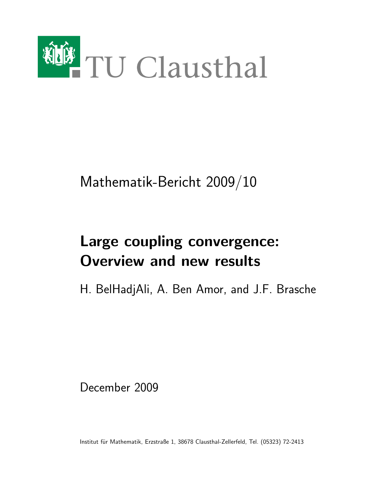

Mathematik-Bericht 2009/10

# Large coupling convergence: Overview and new results

H. BelHadjAli, A. Ben Amor, and J.F. Brasche

December 2009

Institut für Mathematik, Erzstraße 1, 38678 Clausthal-Zellerfeld, Tel. (05323) 72-2413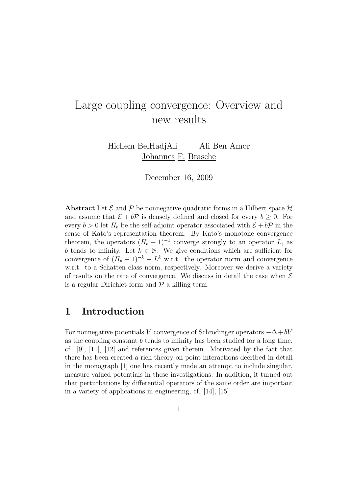## Large coupling convergence: Overview and new results

Hichem BelHadjAli Ali Ben Amor Johannes F. Brasche

December 16, 2009

**Abstract** Let  $\mathcal{E}$  and  $\mathcal{P}$  be nonnegative quadratic forms in a Hilbert space  $\mathcal{H}$ and assume that  $\mathcal{E} + b\mathcal{P}$  is densely defined and closed for every  $b \geq 0$ . For every  $b > 0$  let  $H_b$  be the self-adjoint operator associated with  $\mathcal{E} + b\mathcal{P}$  in the sense of Kato's representation theorem. By Kato's monotone convergence theorem, the operators  $(H_b + 1)^{-1}$  converge strongly to an operator L, as b tends to infinity. Let  $k \in \mathbb{N}$ . We give conditions which are sufficient for convergence of  $(H_b + 1)^{-k} - L^k$  w.r.t. the operator norm and convergence w.r.t. to a Schatten class norm, respectively. Moreover we derive a variety of results on the rate of convergence. We discuss in detail the case when  $\mathcal E$ is a regular Dirichlet form and  $P$  a killing term.

## 1 Introduction

For nonnegative potentials V convergence of Schrödinger operators  $-\Delta + bV$ as the coupling constant  $b$  tends to infinity has been studied for a long time, cf. [9], [11], [12] and references given therein. Motivated by the fact that there has been created a rich theory on point interactions decribed in detail in the monograph [1] one has recently made an attempt to include singular, measure-valued potentials in these investigations. In addition, it turned out that perturbations by differential operators of the same order are important in a variety of applications in engineering, cf. [14], [15].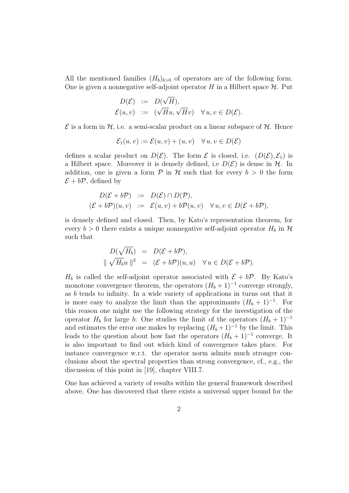All the mentioned families  $(H_b)_{b>0}$  of operators are of the following form. One is given a nonnegative self-adjoint operator H in a Hilbert space  $\mathcal{H}$ . Put

$$
D(\mathcal{E}) := D(\sqrt{H}),
$$
  

$$
\mathcal{E}(u, v) := (\sqrt{H}u, \sqrt{H}v) \quad \forall u, v \in D(\mathcal{E}).
$$

 $\mathcal E$  is a form in  $\mathcal H$ , i.e. a semi-scalar product on a linear subspace of  $\mathcal H$ . Hence

$$
\mathcal{E}_1(u, v) := \mathcal{E}(u, v) + (u, v) \quad \forall u, v \in D(\mathcal{E})
$$

defines a scalar product on  $D(\mathcal{E})$ . The form  $\mathcal E$  is closed, i.e.  $(D(\mathcal{E}), \mathcal{E}_1)$  is a Hilbert space. Moreover it is densely defined, i.e  $D(\mathcal{E})$  is dense in  $\mathcal{H}$ . In addition, one is given a form  $\mathcal P$  in  $\mathcal H$  such that for every  $b > 0$  the form  $\mathcal{E} + b\mathcal{P}$ , defined by

$$
D(\mathcal{E} + b\mathcal{P}) := D(\mathcal{E}) \cap D(\mathcal{P}),
$$
  

$$
(\mathcal{E} + b\mathcal{P})(u, v) := \mathcal{E}(u, v) + b\mathcal{P}(u, v) \quad \forall u, v \in D(\mathcal{E} + b\mathcal{P}),
$$

is densely defined and closed. Then, by Kato's representation theorem, for every  $b > 0$  there exists a unique nonnegative self-adjoint operator  $H_b$  in  $\mathcal H$ such that

$$
D(\sqrt{H_b}) = D(\mathcal{E} + b\mathcal{P}),
$$
  

$$
\|\sqrt{H_b}u\|^2 = (\mathcal{E} + b\mathcal{P})(u, u) \quad \forall u \in D(\mathcal{E} + b\mathcal{P}).
$$

 $H_b$  is called the self-adjoint operator associated with  $\mathcal{E} + b\mathcal{P}$ . By Kato's monotone convergence theorem, the operators  $(H_b + 1)^{-1}$  converge strongly, as b tends to infinity. In a wide variety of applications in turns out that it is more easy to analyze the limit than the approximants  $(H_b + 1)^{-1}$ . For this reason one might use the following strategy for the investigation of the operator  $H_b$  for large b: One studies the limit of the operators  $(H_b + 1)^{-1}$ and estimates the error one makes by replacing  $(H_b + 1)^{-1}$  by the limit. This leads to the question about how fast the operators  $(H_b + 1)^{-1}$  converge. It is also important to find out which kind of convergence takes place. For instance convergence w.r.t. the operator norm admits much stronger conclusions about the spectral properties than strong convergence, cf., e.g., the discussion of this point in [19], chapter VIII.7.

One has achieved a variety of results within the general framework described above. One has discovered that there exists a universal upper bound for the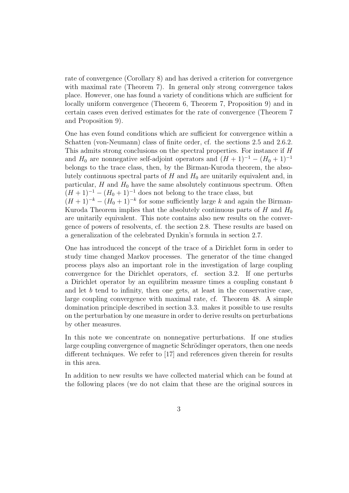rate of convergence (Corollary 8) and has derived a criterion for convergence with maximal rate (Theorem 7). In general only strong convergence takes place. However, one has found a variety of conditions which are sufficient for locally uniform convergence (Theorem 6, Theorem 7, Proposition 9) and in certain cases even derived estimates for the rate of convergence (Theorem 7 and Proposition 9).

One has even found conditions which are sufficient for convergence within a Schatten (von-Neumann) class of finite order, cf. the sections 2.5 and 2.6.2. This admits strong conclusions on the spectral properties. For instance if H and  $H_0$  are nonnegative self-adjoint operators and  $(H + 1)^{-1} - (H_0 + 1)^{-1}$ belongs to the trace class, then, by the Birman-Kuroda theorem, the absolutely continuous spectral parts of  $H$  and  $H_0$  are unitarily equivalent and, in particular,  $H$  and  $H_0$  have the same absolutely continuous spectrum. Often  $(H + 1)^{-1} - (H_0 + 1)^{-1}$  does not belong to the trace class, but  $(H + 1)^{-k} - (H_0 + 1)^{-k}$  for some sufficiently large k and again the Birman-Kuroda Theorem implies that the absolutely continuous parts of H and  $H_0$ are unitarily equivalent. This note contains also new results on the convergence of powers of resolvents, cf. the section 2.8. These results are based on a generalization of the celebrated Dynkin's formula in section 2.7.

One has introduced the concept of the trace of a Dirichlet form in order to study time changed Markov processes. The generator of the time changed process plays also an important role in the investigation of large coupling convergence for the Dirichlet operators, cf. section 3.2. If one perturbs a Dirichlet operator by an equilibrim measure times a coupling constant b and let  $b$  tend to infinity, then one gets, at least in the conservative case, large coupling convergence with maximal rate, cf. Theorem 48. A simple domination principle described in section 3.3. makes it possible to use results on the perturbation by one measure in order to derive results on perturbations by other measures.

In this note we concentrate on nonnegative perturbations. If one studies large coupling convergence of magnetic Schrödinger operators, then one needs different techniques. We refer to [17] and references given therein for results in this area.

In addition to new results we have collected material which can be found at the following places (we do not claim that these are the original sources in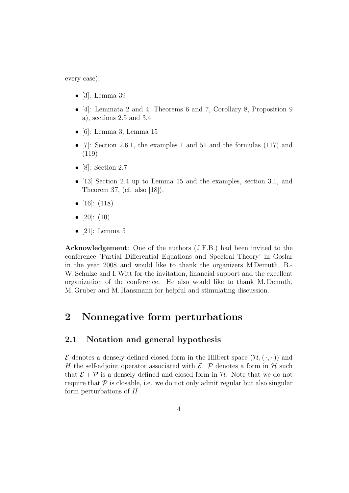every case):

- [3]: Lemma 39
- [4]: Lemmata 2 and 4, Theorems 6 and 7, Corollary 8, Proposition 9 a), sections 2.5 and 3.4
- $\bullet$  [6]: Lemma 3, Lemma 15
- [7]: Section 2.6.1, the examples 1 and 51 and the formulas  $(117)$  and (119)
- [8]: Section 2.7
- [13] Section 2.4 up to Lemma 15 and the examples, section 3.1, and Theorem 37, (cf. also [18]).
- $[16]$ :  $(118)$
- $[20]$ :  $(10)$
- [21]: Lemma  $5$

Acknowledgement: One of the authors (J.F.B.) had been invited to the conference 'Partial Differential Equations and Spectral Theory' in Goslar in the year 2008 and would like to thank the organizers M Demuth, B.- W. Schulze and I.Witt for the invitation, financial support and the excellent organization of the conference. He also would like to thank M. Demuth, M. Gruber and M. Hansmann for helpful and stimulating discussion.

## 2 Nonnegative form perturbations

## 2.1 Notation and general hypothesis

 $\mathcal E$  denotes a densely defined closed form in the Hilbert space  $(\mathcal H, (\cdot, \cdot))$  and H the self-adjoint operator associated with  $\mathcal{E}$ . P denotes a form in H such that  $\mathcal{E} + \mathcal{P}$  is a densely defined and closed form in  $\mathcal{H}$ . Note that we do not require that  $\mathcal P$  is closable, i.e. we do not only admit regular but also singular form perturbations of H.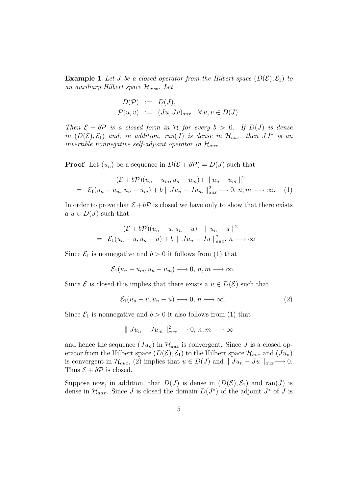**Example 1** Let J be a closed operator from the Hilbert space  $(D(\mathcal{E}), \mathcal{E}_1)$  to an auxiliary Hilbert space  $\mathcal{H}_{aux}$ . Let

$$
D(\mathcal{P}) := D(J),
$$
  
\n
$$
\mathcal{P}(u, v) := (Ju, Jv)_{aux} \quad \forall u, v \in D(J).
$$

Then  $\mathcal{E} + b\mathcal{P}$  is a closed form in H for every  $b > 0$ . If  $D(J)$  is dense in  $(D(\mathcal{E}), \mathcal{E}_1)$  and, in addition, ran(J) is dense in  $\mathcal{H}_{aux}$ , then  $JJ^*$  is an invertible nonnegative self-adjoint operator in  $\mathcal{H}_{aux}$ .

**Proof:** Let  $(u_n)$  be a sequence in  $D(\mathcal{E} + b\mathcal{P}) = D(J)$  such that

$$
(\mathcal{E} + b\mathcal{P})(u_n - u_m, u_n - u_m) + || u_n - u_m ||^2
$$
  
=  $\mathcal{E}_1(u_n - u_m, u_n - u_m) + b || Ju_n - Ju_m ||_{aux}^2 \longrightarrow 0, n, m \longrightarrow \infty.$  (1)

In order to prove that  $\mathcal{E} + b\mathcal{P}$  is closed we have only to show that there exists a  $u \in D(J)$  such that

$$
(\mathcal{E} + b\mathcal{P})(u_n - u, u_n - u) + || u_n - u ||^2
$$
  
=  $\mathcal{E}_1(u_n - u, u_n - u) + b || Ju_n - Ju ||_{aux}^2, n \longrightarrow \infty$ 

Since  $\mathcal{E}_1$  is nonnegative and  $b > 0$  it follows from (1) that

$$
\mathcal{E}_1(u_n - u_m, u_n - u_m) \longrightarrow 0, n, m \longrightarrow \infty.
$$

Since  $\mathcal E$  is closed this implies that there exists a  $u \in D(\mathcal E)$  such that

$$
\mathcal{E}_1(u_n - u, u_n - u) \longrightarrow 0, n \longrightarrow \infty.
$$
 (2)

Since  $\mathcal{E}_1$  is nonnegative and  $b > 0$  it also follows from (1) that

$$
\parallel Ju_n - Ju_m \parallel_{aux}^{2} \longrightarrow 0, n, m \longrightarrow \infty
$$

and hence the sequence  $(Ju_n)$  in  $\mathcal{H}_{aux}$  is convergent. Since J is a closed operator from the Hilbert space  $(D(\mathcal{E}), \mathcal{E}_1)$  to the Hilbert space  $\mathcal{H}_{aux}$  and  $(Ju_n)$ is convergent in  $\mathcal{H}_{aux}$ , (2) implies that  $u \in D(J)$  and  $|| Ju_n - Ju ||_{aux}\longrightarrow 0$ . Thus  $\mathcal{E} + b\mathcal{P}$  is closed.

Suppose now, in addition, that  $D(J)$  is dense in  $(D(\mathcal{E}), \mathcal{E}_1)$  and ran(J) is dense in  $\mathcal{H}_{aux}$ . Since J is closed the domain  $D(J^*)$  of the adjoint  $J^*$  of J is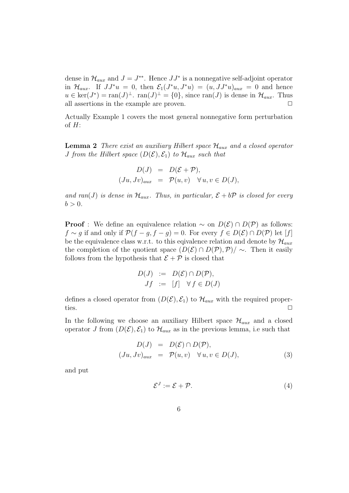dense in  $\mathcal{H}_{aux}$  and  $J = J^{**}$ . Hence  $JJ^*$  is a nonnegative self-adjoint operator in  $\mathcal{H}_{aux}$ . If  $JJ^*u = 0$ , then  $\mathcal{E}_1(J^*u, J^*u) = (u, JJ^*u)_{aux} = 0$  and hence  $u \in \text{ker}(J^*) = \text{ran}(J)^{\perp}$ .  $\text{ran}(J)^{\perp} = \{0\}$ , since  $\text{ran}(J)$  is dense in  $\mathcal{H}_{aux}$ . Thus all assertions in the example are proven.  $\Box$ 

Actually Example 1 covers the most general nonnegative form perturbation of  $H$ :

**Lemma 2** There exist an auxiliary Hilbert space  $\mathcal{H}_{aux}$  and a closed operator *J* from the Hilbert space  $(D(\mathcal{E}), \mathcal{E}_1)$  to  $\mathcal{H}_{aux}$  such that

$$
D(J) = D(\mathcal{E} + \mathcal{P}),
$$
  
\n
$$
(Ju, Jv)_{aux} = \mathcal{P}(u, v) \quad \forall u, v \in D(J),
$$

and ran(J) is dense in  $\mathcal{H}_{aux}$ . Thus, in particular,  $\mathcal{E} + b\mathcal{P}$  is closed for every  $b > 0$ .

**Proof** : We define an equivalence relation  $\sim$  on  $D(\mathcal{E}) \cap D(\mathcal{P})$  as follows:  $f \sim g$  if and only if  $\mathcal{P}(f - g, f - g) = 0$ . For every  $f \in D(\mathcal{E}) \cap D(\mathcal{P})$  let [f] be the equivalence class w.r.t. to this eqivalence relation and denote by  $\mathcal{H}_{aux}$ the completion of the quotient space  $(D(\mathcal{E}) \cap D(\mathcal{P}), \mathcal{P})/\sim$ . Then it easily follows from the hypothesis that  $\mathcal{E} + \mathcal{P}$  is closed that

$$
D(J) := D(\mathcal{E}) \cap D(\mathcal{P}),
$$
  

$$
Jf := [f] \quad \forall f \in D(J)
$$

defines a closed operator from  $(D(\mathcal{E}), \mathcal{E}_1)$  to  $\mathcal{H}_{aux}$  with the required properties.  $\Box$ 

In the following we choose an auxiliary Hilbert space  $\mathcal{H}_{aux}$  and a closed operator J from  $(D(\mathcal{E}), \mathcal{E}_1)$  to  $\mathcal{H}_{aux}$  as in the previous lemma, i.e such that

$$
D(J) = D(\mathcal{E}) \cap D(\mathcal{P}),
$$
  
\n
$$
(Ju, Jv)_{aux} = \mathcal{P}(u, v) \quad \forall u, v \in D(J),
$$
\n(3)

and put

$$
\mathcal{E}^J := \mathcal{E} + \mathcal{P}.\tag{4}
$$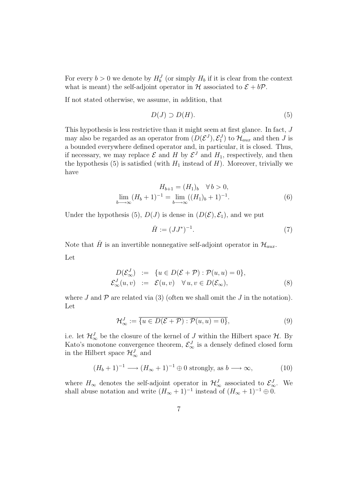For every  $b > 0$  we denote by  $H_b^J$  (or simply  $H_b$  if it is clear from the context what is meant) the self-adjoint operator in H associated to  $\mathcal{E} + b\mathcal{P}$ .

If not stated otherwise, we assume, in addition, that

$$
D(J) \supset D(H). \tag{5}
$$

This hypothesis is less restrictive than it might seem at first glance. In fact, J may also be regarded as an operator from  $(D(\mathcal{E}^J), \mathcal{E}^J_1)$  to  $\mathcal{H}_{aux}$  and then J is a bounded everywhere defined operator and, in particular, it is closed. Thus, if necessary, we may replace  $\mathcal E$  and  $H$  by  $\mathcal E^J$  and  $H_1$ , respectively, and then the hypothesis (5) is satisfied (with  $H_1$  instead of  $H$ ). Moreover, trivially we have

$$
H_{b+1} = (H_1)_b \quad \forall \, b > 0,
$$
\n
$$
\lim_{b \to \infty} (H_b + 1)^{-1} = \lim_{b \to \infty} ((H_1)_b + 1)^{-1}.
$$
\n
$$
(6)
$$

Under the hypothesis (5),  $D(J)$  is dense in  $(D(\mathcal{E}), \mathcal{E}_1)$ , and we put

$$
\check{H} := (JJ^*)^{-1}.
$$
\n(7)

Note that  $\check{H}$  is an invertible nonnegative self-adjoint operator in  $\mathcal{H}_{aux}$ . Let

$$
D(\mathcal{E}_{\infty}^J) := \{ u \in D(\mathcal{E} + \mathcal{P}) : \mathcal{P}(u, u) = 0 \},
$$
  

$$
\mathcal{E}_{\infty}^J(u, v) := \mathcal{E}(u, v) \quad \forall u, v \in D(\mathcal{E}_{\infty}),
$$
 (8)

where  $J$  and  $\mathcal P$  are related via (3) (often we shall omit the  $J$  in the notation). Let

$$
\mathcal{H}_{\infty}^{J} := \overline{\{u \in D(\mathcal{E} + \mathcal{P}) : \mathcal{P}(u, u) = 0\}},\tag{9}
$$

i.e. let  $\mathcal{H}_{\infty}^{J}$  be the closure of the kernel of J within the Hilbert space  $\mathcal{H}$ . By Kato's monotone convergence theorem,  $\mathcal{E}_{\infty}^{J}$  is a densely defined closed form in the Hilbert space  $\mathcal{H}_{\infty}^{J}$  and

$$
(H_b + 1)^{-1} \longrightarrow (H_{\infty} + 1)^{-1} \oplus 0 \text{ strongly, as } b \longrightarrow \infty,
$$
 (10)

where  $H_{\infty}$  denotes the self-adjoint operator in  $\mathcal{H}_{\infty}^{J}$  associated to  $\mathcal{E}_{\infty}^{J}$ . We shall abuse notation and write  $(H_{\infty} + 1)^{-1}$  instead of  $(H_{\infty} + 1)^{-1} \oplus 0$ .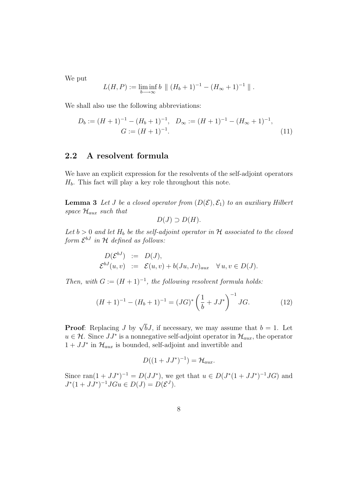We put

$$
L(H, P) := \liminf_{b \to \infty} b \parallel (H_b + 1)^{-1} - (H_{\infty} + 1)^{-1} \parallel.
$$

We shall also use the following abbreviations:

$$
D_b := (H+1)^{-1} - (H_b+1)^{-1}, \quad D_{\infty} := (H+1)^{-1} - (H_{\infty}+1)^{-1},
$$
  
\n
$$
G := (H+1)^{-1}.
$$
\n(11)

## 2.2 A resolvent formula

We have an explicit expression for the resolvents of the self-adjoint operators  $H_b$ . This fact will play a key role throughout this note.

**Lemma 3** Let *J* be a closed operator from  $(D(\mathcal{E}), \mathcal{E}_1)$  to an auxiliary Hilbert space  $\mathcal{H}_{aux}$  such that

$$
D(J) \supset D(H).
$$

Let  $b > 0$  and let  $H_b$  be the self-adjoint operator in H associated to the closed form  $\mathcal{E}^{bJ}$  in  $\mathcal H$  defined as follows:

$$
D(\mathcal{E}^{bJ}) := D(J),
$$
  

$$
\mathcal{E}^{bJ}(u,v) := \mathcal{E}(u,v) + b(Ju,Jv)_{aux} \quad \forall u,v \in D(J).
$$

Then, with  $G := (H + 1)^{-1}$ , the following resolvent formula holds:

$$
(H+1)^{-1} - (H_b+1)^{-1} = (JG)^{*} \left(\frac{1}{b} + JJ^{*}\right)^{-1} JG.
$$
 (12)

**Proof**: Replacing *J* by  $\sqrt{b}J$ , if necessary, we may assume that  $b = 1$ . Let  $u \in \mathcal{H}$ . Since  $JJ^*$  is a nonnegative self-adjoint operator in  $\mathcal{H}_{aux}$ , the operator  $1 + JJ^*$  in  $\mathcal{H}_{aux}$  is bounded, self-adjoint and invertible and

$$
D((1+JJ^*)^{-1})=\mathcal{H}_{aux}.
$$

Since  $\text{ran}(1 + JJ^*)^{-1} = D(JJ^*)$ , we get that  $u \in D(J^*(1 + JJ^*)^{-1}JG)$  and  $J^*(1 + JJ^*)^{-1}JGu \in D(J) = D(\mathcal{E}^J).$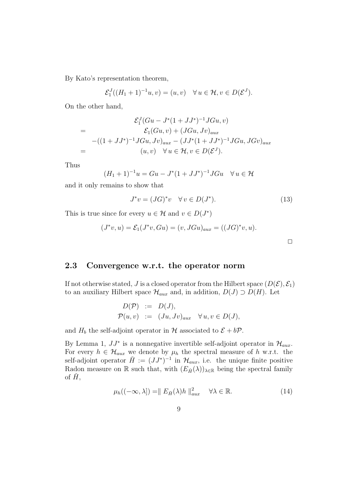By Kato's representation theorem,

$$
\mathcal{E}_1^J((H_1+1)^{-1}u,v)=(u,v)\quad\forall\,u\in\mathcal{H},v\in D(\mathcal{E}^J).
$$

On the other hand,

$$
\mathcal{E}_1^J(Gu - J^*(1 + JJ^*)^{-1}JGu, v)
$$
  
= 
$$
\mathcal{E}_1(Gu, v) + (JGu, Jv)_{aux}
$$
  
-
$$
((1 + JJ^*)^{-1}JGu, Jv)_{aux} - (JJ^*(1 + JJ^*)^{-1}JGu, JGv)_{aux}
$$
  
= 
$$
(u, v) \quad \forall u \in \mathcal{H}, v \in D(\mathcal{E}^J).
$$

Thus

$$
(H_1 + 1)^{-1}u = Gu - J^*(1 + JJ^*)^{-1}JGu \quad \forall u \in \mathcal{H}
$$

and it only remains to show that

$$
J^*v = (JG)^*v \quad \forall v \in D(J^*). \tag{13}
$$

 $\Box$ 

This is true since for every  $u \in \mathcal{H}$  and  $v \in D(J^*)$ 

$$
(J^*v, u) = \mathcal{E}_1(J^*v, Gu) = (v, JGu)_{aux} = ((JG)^*v, u).
$$

2.3 Convergence w.r.t. the operator norm

If not otherwise stated, J is a closed operator from the Hilbert space  $(D(\mathcal{E}), \mathcal{E}_1)$ to an auxiliary Hilbert space  $\mathcal{H}_{aux}$  and, in addition,  $D(J) \supset D(H)$ . Let

$$
D(\mathcal{P}) := D(J),
$$
  
\n
$$
\mathcal{P}(u, v) := (Ju, Jv)_{aux} \quad \forall u, v \in D(J),
$$

and  $H_b$  the self-adjoint operator in H associated to  $\mathcal{E} + b\mathcal{P}$ .

By Lemma 1,  $JJ^*$  is a nonnegative invertible self-adjoint operator in  $\mathcal{H}_{aux}$ . For every  $h \in \mathcal{H}_{aux}$  we denote by  $\mu_h$  the spectral measure of h w.r.t. the self-adjoint operator  $\check{H} := (JJ^*)^{-1}$  in  $\mathcal{H}_{aux}$ , i.e. the unique finite positive Radon measure on R such that, with  $(E_{\check{H}}(\lambda))_{\lambda \in \mathbb{R}}$  being the spectral family of  $\dot{H}$ ,

$$
\mu_h((-\infty,\lambda]) = || E_{\check{H}}(\lambda)h ||_{aux}^2 \quad \forall \lambda \in \mathbb{R}.
$$
\n(14)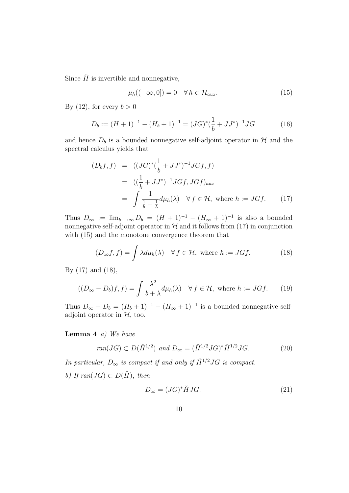Since  $\check{H}$  is invertible and nonnegative,

$$
\mu_h((-\infty,0]) = 0 \quad \forall \, h \in \mathcal{H}_{aux}.\tag{15}
$$

By (12), for every  $b > 0$ 

$$
D_b := (H+1)^{-1} - (H_b+1)^{-1} = (JG)^{*}(\frac{1}{b} + JJ^{*})^{-1}JG
$$
 (16)

and hence  $D_b$  is a bounded nonnegative self-adjoint operator in  $H$  and the spectral calculus yields that

$$
(D_b f, f) = ((JG)^* (\frac{1}{b} + JJ^*)^{-1} JGf, f)
$$
  
= 
$$
((\frac{1}{b} + JJ^*)^{-1} JGf, JGf)_{aux}
$$
  
= 
$$
\int \frac{1}{\frac{1}{b} + \frac{1}{\lambda}} d\mu_h(\lambda) \quad \forall f \in \mathcal{H}, \text{ where } h := JGf.
$$
 (17)

Thus  $D_{\infty} := \lim_{b \to \infty} D_b = (H + 1)^{-1} - (H_{\infty} + 1)^{-1}$  is also a bounded nonnegative self-adjoint operator in  $H$  and it follows from (17) in conjunction with (15) and the monotone convergence theorem that

$$
(D_{\infty}f, f) = \int \lambda d\mu_h(\lambda) \quad \forall f \in \mathcal{H}, \text{ where } h := JGf.
$$
 (18)

By (17) and (18),

$$
((D_{\infty} - D_b)f, f) = \int \frac{\lambda^2}{b + \lambda} d\mu_h(\lambda) \quad \forall f \in \mathcal{H}, \text{ where } h := JGf. \tag{19}
$$

Thus  $D_{\infty} - D_b = (H_b + 1)^{-1} - (H_{\infty} + 1)^{-1}$  is a bounded nonnegative selfadjoint operator in  $H$ , too.

**Lemma 4** a) We have

$$
ran(JG) \subset D(\check{H}^{1/2}) \text{ and } D_{\infty} = (\check{H}^{1/2} JG)^{*} \check{H}^{1/2} JG. \tag{20}
$$

In particular,  $D_{\infty}$  is compact if and only if  $\check{H}^{1/2} J G$  is compact.

b) If  $ran(JG) \subset D(H)$ , then

$$
D_{\infty} = (JG)^{*} \check{H} JG. \tag{21}
$$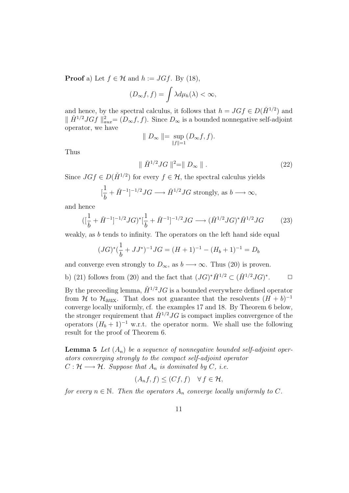**Proof** a) Let  $f \in \mathcal{H}$  and  $h := JGf$ . By (18),

$$
(D_{\infty}f, f) = \int \lambda d\mu_h(\lambda) < \infty,
$$

and hence, by the spectral calculus, it follows that  $h = JGf \in D(\check{H}^{1/2})$  and  $\|\check{H}^{1/2}JGf\|_{aux}^2 = (D_{\infty}f, f)$ . Since  $D_{\infty}$  is a bounded nonnegative self-adjoint operator, we have

$$
\parallel D_{\infty} \parallel = \sup_{\parallel f \parallel = 1} (D_{\infty}f, f).
$$

Thus

$$
\parallel \check{H}^{1/2} J G \parallel^2 = \parallel D_{\infty} \parallel.
$$
 (22)

Since  $JGf \in D(\check{H}^{1/2})$  for every  $f \in \mathcal{H}$ , the spectral calculus yields

$$
[\frac{1}{b} + \check{H}^{-1}]^{-1/2} JG \longrightarrow \check{H}^{1/2} JG \text{ strongly, as } b \longrightarrow \infty,
$$

and hence

$$
([\frac{1}{b} + \check{H}^{-1}]^{-1/2} JG)^* [\frac{1}{b} + \check{H}^{-1}]^{-1/2} JG \longrightarrow (\check{H}^{1/2} JG)^* \check{H}^{1/2} JG \tag{23}
$$

weakly, as b tends to infinity. The operators on the left hand side equal

$$
(JG)^{*}(\frac{1}{b} + JJ^{*})^{-1}JG = (H+1)^{-1} - (H_{b}+1)^{-1} = D_{b}
$$

and converge even strongly to  $D_{\infty}$ , as  $b \longrightarrow \infty$ . Thus (20) is proven.

b) (21) follows from (20) and the fact that  $(JG)^*\check{H}^{1/2} \subset (\check{H}^{1/2}JG)^*$  $\Box$ 

By the preceeding lemma,  $\check{H}^{1/2} J G$  is a bounded everywhere defined operator from H to  $\mathcal{H}_{\text{aux}}$ . That does not guarantee that the resolvents  $(H + b)^{-1}$ converge locally uniformly, cf. the examples 17 and 18. By Theorem 6 below, the stronger requirement that  $\check{H}^{1/2}JG$  is compact implies convergence of the operators  $(H_b + 1)^{-1}$  w.r.t. the operator norm. We shall use the following result for the proof of Theorem 6.

**Lemma 5** Let  $(A_n)$  be a sequence of nonnegative bounded self-adjoint operators converging strongly to the compact self-adjoint operator  $C: \mathcal{H} \longrightarrow \mathcal{H}$ . Suppose that  $A_n$  is dominated by C, i.e.

$$
(A_n f, f) \le (Cf, f) \quad \forall f \in \mathcal{H},
$$

for every  $n \in \mathbb{N}$ . Then the operators  $A_n$  converge locally uniformly to C.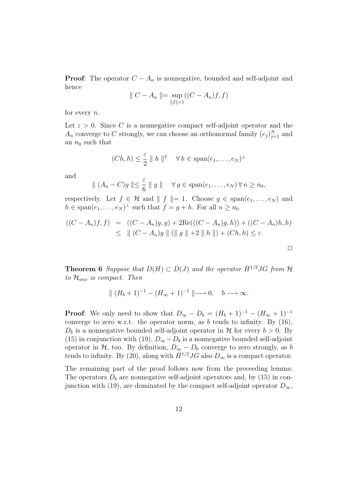**Proof:** The operator  $C - A_n$  is nonnegative, bounded and self-adjoint and hence

$$
\| C - A_n \| = \sup_{\|f\| = 1} ((C - A_n)f, f)
$$

for every  $n$ .

Let  $\varepsilon > 0$ . Since C is a nonnegative compact self-adjoint operator and the  $A_n$  converge to C strongly, we can choose an orthonormal family  $(e_j)_{j=1}^N$  and an  $n_0$  such that

$$
(Ch, h) \leq \frac{\varepsilon}{2} \parallel h \parallel^2 \quad \forall \, h \in \text{span}(e_1, \dots, e_N)^{\perp}
$$

and

$$
\| (A_n - C)g \| \leq \frac{\varepsilon}{6} \| g \| \quad \forall g \in \text{span}(e_1, \dots, e_N) \, \forall n \geq n_0,
$$

respectively. Let  $f \in \mathcal{H}$  and  $|| f ||= 1$ . Choose  $g \in \text{span}(e_1, \ldots, e_N)$  and  $h \in \text{span}(e_1, \ldots, e_N)^\perp$  such that  $f = g + h$ . For all  $n \geq n_0$ 

$$
((C - A_n)f, f) = ((C - A_n)g, g) + 2\text{Re}(((C - A_n)g, h)) + ((C - A_n)h, h)
$$
  
\n
$$
\leq || (C - A_n)g || || g || + 2 || h ||) + (Ch, h) \leq \varepsilon.
$$

 $\Box$ 

**Theorem 6** Suppose that  $D(H) \subset D(J)$  and the operator  $\check{H}^{1/2}JG$  from  $\mathcal H$ to  $\mathcal{H}_{aux}$  is compact. Then

$$
\| (H_b + 1)^{-1} - (H_{\infty} + 1)^{-1} \| \longrightarrow 0, \quad b \longrightarrow \infty.
$$

**Proof:** We only need to show that  $D_{\infty} - D_b = (H_b + 1)^{-1} - (H_{\infty} + 1)^{-1}$ converge to zero w.r.t. the operator norm, as  $b$  tends to infinity. By  $(16)$ ,  $D_b$  is a nonnegative bounded self-adjoint operator in H for every  $b > 0$ . By (15) in conjunction with (19),  $D_{\infty} - D_b$  is a nonnegative bounded self-adjoint operator in  $H$ , too. By definition,  $D_{\infty} - D_b$  converge to zero strongly, as b tends to infinity. By (20), along with  $\check{H}^{1/2}JG$  also  $D_{\infty}$  is a compact operator.

The remaining part of the proof follows now from the preceeding lemma: The operators  $D<sub>b</sub>$  are nonnegative self-adjoint operators and, by (15) in conjunction with (19), are dominated by the compact self-adjoint operator  $D_{\infty}$ ,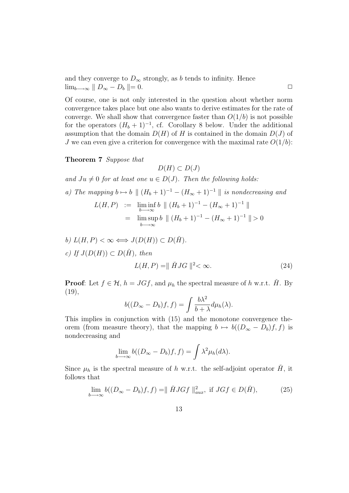and they converge to  $D_{\infty}$  strongly, as b tends to infinity. Hence  $\lim_{b\longrightarrow\infty}$   $\parallel$   $D_{\infty}$   $D_b$   $\parallel$   $=$  0.

Of course, one is not only interested in the question about whether norm convergence takes place but one also wants to derive estimates for the rate of converge. We shall show that convergence faster than  $O(1/b)$  is not possible for the operators  $(H_b + 1)^{-1}$ , cf. Corollary 8 below. Under the additional assumption that the domain  $D(H)$  of H is contained in the domain  $D(J)$  of J we can even give a criterion for convergence with the maximal rate  $O(1/b)$ :

Theorem 7 Suppose that

$$
D(H) \subset D(J)
$$

and  $Ju \neq 0$  for at least one  $u \in D(J)$ . Then the following holds:

 $b \rightarrow \infty$ 

a) The mapping 
$$
b \mapsto b \parallel (H_b + 1)^{-1} - (H_{\infty} + 1)^{-1} \parallel
$$
 is nondecreasing and  
\n
$$
L(H, P) := \liminf_{b \to \infty} b \parallel (H_b + 1)^{-1} - (H_{\infty} + 1)^{-1} \parallel
$$
\n
$$
= \limsup b \parallel (H_b + 1)^{-1} - (H_{\infty} + 1)^{-1} \parallel > 0
$$

b) 
$$
L(H, P) < \infty \Longleftrightarrow J(D(H)) \subset D(\check{H}).
$$
  
\nc) If  $J(D(H)) \subset D(\check{H})$ , then  
\n $L(H, P) = ||\check{H}JG||^2 < \infty.$  (24)

**Proof:** Let  $f \in \mathcal{H}$ ,  $h = JGf$ , and  $\mu_h$  the spectral measure of h w.r.t. H. By  $(19),$ 

$$
b((D_{\infty} - D_b)f, f) = \int \frac{b\lambda^2}{b + \lambda} d\mu_h(\lambda).
$$

This implies in conjunction with (15) and the monotone convergence theorem (from measure theory), that the mapping  $b \mapsto b((D_{\infty} - D_b)f, f)$  is nondecreasing and

$$
\lim_{b \to \infty} b((D_{\infty} - D_b)f, f) = \int \lambda^2 \mu_h(d\lambda).
$$

Since  $\mu_h$  is the spectral measure of h w.r.t. the self-adjoint operator  $\check{H}$ , it follows that

$$
\lim_{b \to \infty} b((D_{\infty} - D_b)f, f) = ||\check{H}JGf||_{aux}^2, \text{ if } JGf \in D(\check{H}),
$$
\n(25)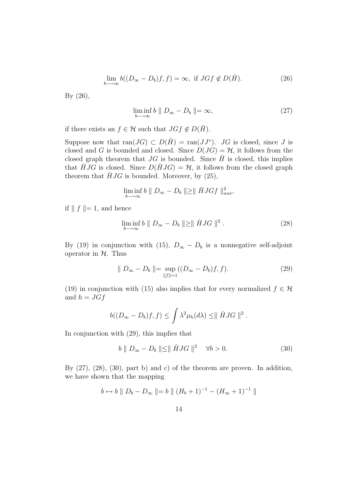$$
\lim_{b \to \infty} b((D_{\infty} - D_b)f, f) = \infty, \text{ if } JGf \notin D(\check{H}).
$$
\n(26)

By (26),

$$
\liminf_{b \to \infty} b \parallel D_{\infty} - D_b \parallel = \infty, \tag{27}
$$

if there exists an  $f \in \mathcal{H}$  such that  $JGf \notin D(\check{H})$ .

Suppose now that  $ran(JG) \subset D(\check{H}) = ran(JJ^*)$ . JG is closed, since J is closed and G is bounded and closed. Since  $D(JG) = H$ , it follows from the closed graph theorem that  $JG$  is bounded. Since  $\check{H}$  is closed, this implies that  $\hat{H} J G$  is closed. Since  $D(\hat{H} J G) = \mathcal{H}$ , it follows from the closed graph theorem that  $\hat{H} J G$  is bounded. Moreover, by (25),

$$
\liminf_{b \to \infty} b \parallel D_{\infty} - D_b \parallel \geq \parallel \check{H} J G f \parallel_{aux}^2,
$$

if  $\| f \| = 1$ , and hence

$$
\liminf_{b \to \infty} b \parallel D_{\infty} - D_b \parallel \geq \parallel \check{H} J G \parallel^2.
$$
\n(28)

By (19) in conjunction with (15),  $D_{\infty} - D_b$  is a nonnegative self-adjoint operator in  $H$ . Thus

$$
\| D_{\infty} - D_b \| = \sup_{\|f\| = 1} ((D_{\infty} - D_b)f, f).
$$
 (29)

(19) in conjunction with (15) also implies that for every normalized  $f \in \mathcal{H}$ and  $h = JGf$ 

$$
b((D_{\infty}-D_b)f,f)\leq \int \lambda^2\mu_h(d\lambda)\leq \parallel \check{H}JG\parallel^2.
$$

In conjunction with (29), this implies that

$$
b \parallel D_{\infty} - D_b \parallel \leq \parallel \check{H}JG \parallel^2 \quad \forall b > 0. \tag{30}
$$

By  $(27)$ ,  $(28)$ ,  $(30)$ , part b) and c) of the theorem are proven. In addition, we have shown that the mapping

$$
b \mapsto b \parallel D_b - D_{\infty} \parallel = b \parallel (H_b + 1)^{-1} - (H_{\infty} + 1)^{-1} \parallel
$$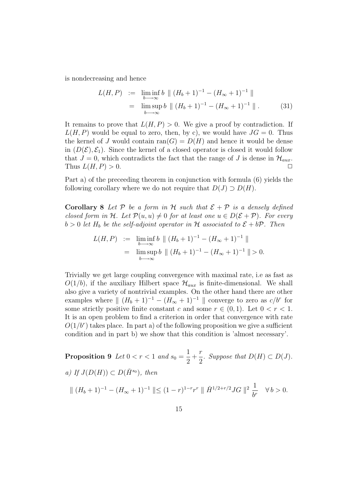is nondecreasing and hence

$$
L(H, P) := \liminf_{b \to \infty} b \parallel (H_b + 1)^{-1} - (H_{\infty} + 1)^{-1} \parallel
$$
  
= 
$$
\limsup_{b \to \infty} b \parallel (H_b + 1)^{-1} - (H_{\infty} + 1)^{-1} \parallel.
$$
 (31)

It remains to prove that  $L(H, P) > 0$ . We give a proof by contradiction. If  $L(H, P)$  would be equal to zero, then, by c), we would have  $JG = 0$ . Thus the kernel of J would contain  $\text{ran}(G) = D(H)$  and hence it would be dense in  $(D(\mathcal{E}), \mathcal{E}_1)$ . Since the kernel of a closed operator is closed it would follow that  $J = 0$ , which contradicts the fact that the range of J is dense in  $\mathcal{H}_{aux}$ . Thus  $L(H, P) > 0$ .

Part a) of the preceeding theorem in conjunction with formula (6) yields the following corollary where we do not require that  $D(J) \supset D(H)$ .

**Corollary 8** Let P be a form in H such that  $\mathcal{E} + \mathcal{P}$  is a densely defined closed form in H. Let  $\mathcal{P}(u, u) \neq 0$  for at least one  $u \in D(\mathcal{E} + \mathcal{P})$ . For every  $b > 0$  let  $H_b$  be the self-adjoint operator in H associated to  $\mathcal{E} + b\mathcal{P}$ . Then

$$
L(H, P) := \liminf_{b \to \infty} b \parallel (H_b + 1)^{-1} - (H_{\infty} + 1)^{-1} \parallel
$$
  
= 
$$
\limsup_{b \to \infty} b \parallel (H_b + 1)^{-1} - (H_{\infty} + 1)^{-1} \parallel > 0.
$$

Trivially we get large coupling convergence with maximal rate, i.e as fast as  $O(1/b)$ , if the auxiliary Hilbert space  $\mathcal{H}_{aux}$  is finite-dimensional. We shall also give a variety of nontrivial examples. On the other hand there are other examples where  $\| (H_b + 1)^{-1} - (H_\infty + 1)^{-1} \|$  converge to zero as  $c/b^r$  for some strictly positive finite constant c and some  $r \in (0, 1)$ . Let  $0 < r < 1$ . It is an open problem to find a criterion in order that convergence with rate  $O(1/b<sup>r</sup>)$  takes place. In part a) of the following proposition we give a sufficient condition and in part b) we show that this condition is 'almost necessary'.

Proposition 9 Let  $0 < r < 1$  and  $s_0 =$ 1 2  $+$ r  $\frac{1}{2}$ . Suppose that  $D(H) \subset D(J)$ . a) If  $J(D(H)) \subset D(H^{s_0})$ , then  $\| (H_b + 1)^{-1} - (H_{\infty} + 1)^{-1} \| \leq (1 - r)^{1 - r} r^r \| \check{H}^{1/2 + r/2} J G \|^{2} \frac{1}{h^r}$  $\frac{1}{b^r}$   $\forall b > 0.$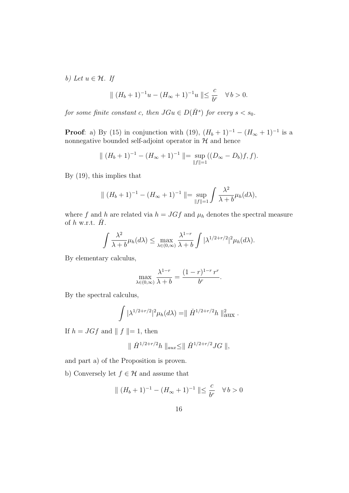b) Let  $u \in \mathcal{H}$ . If

$$
\| (H_b + 1)^{-1}u - (H_{\infty} + 1)^{-1}u \| \leq \frac{c}{b^r} \quad \forall \, b > 0.
$$

for some finite constant c, then  $JGu \in D(\check{H}^s)$  for every  $s < s_0$ .

**Proof**: a) By (15) in conjunction with (19),  $(H_b + 1)^{-1} - (H_\infty + 1)^{-1}$  is a nonnegative bounded self-adjoint operator in  $\mathcal H$  and hence

$$
\| (H_b + 1)^{-1} - (H_{\infty} + 1)^{-1} \| = \sup_{\|f\| = 1} ((D_{\infty} - D_b)f, f).
$$

By (19), this implies that

$$
\| (H_b + 1)^{-1} - (H_{\infty} + 1)^{-1} \| = \sup_{\|f\|=1} \int \frac{\lambda^2}{\lambda + b} \mu_h(d\lambda),
$$

where f and h are related via  $h = JGf$  and  $\mu_h$  denotes the spectral measure of  $h$  w.r.t.  $H$ .

$$
\int \frac{\lambda^2}{\lambda+b} \mu_h(d\lambda) \le \max_{\lambda \in (0,\infty)} \frac{\lambda^{1-r}}{\lambda+b} \int |\lambda^{1/2+r/2}|^2 \mu_h(d\lambda).
$$

By elementary calculus,

$$
\max_{\lambda \in (0,\infty)} \frac{\lambda^{1-r}}{\lambda + b} = \frac{(1-r)^{1-r}r^r}{b^r}.
$$

By the spectral calculus,

$$
\int |\lambda^{1/2+r/2}|^2 \mu_h(d\lambda) = || \check{H}^{1/2+r/2}h ||_{\text{aux}}^2.
$$

If  $h = JGf$  and  $|| f ||= 1$ , then

$$
\parallel \check{H}^{1/2+r/2}h\parallel_{aux}\leq \parallel \check{H}^{1/2+r/2}JG\parallel,
$$

and part a) of the Proposition is proven.

b) Conversely let  $f \in \mathcal{H}$  and assume that

$$
\| (H_b + 1)^{-1} - (H_{\infty} + 1)^{-1} \| \leq \frac{c}{b^r} \quad \forall b > 0
$$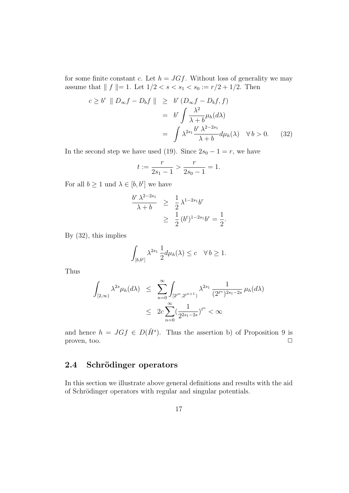for some finite constant c. Let  $h = JGf$ . Without loss of generality we may assume that  $|| f ||= 1$ . Let  $1/2 < s < s_1 < s_0 := r/2 + 1/2$ . Then

$$
c \ge b^r \| D_{\infty} f - D_b f \| \ge b^r (D_{\infty} f - D_b f, f)
$$
  
=  $b^r \int \frac{\lambda^2}{\lambda + b} \mu_h(d\lambda)$   
=  $\int \lambda^{2s_1} \frac{b^r \lambda^{2-2s_1}}{\lambda + b} d\mu_h(\lambda) \quad \forall b > 0.$  (32)

In the second step we have used (19). Since  $2s_0 - 1 = r$ , we have

$$
t := \frac{r}{2s_1 - 1} > \frac{r}{2s_0 - 1} = 1.
$$

For all  $b \geq 1$  und  $\lambda \in [b, b^t]$  we have

$$
\frac{b^r \lambda^{2-2s_1}}{\lambda+b} \ge \frac{1}{2} \lambda^{1-2s_1} b^r
$$
  
 
$$
\ge \frac{1}{2} (b^t)^{1-2s_1} b^r = \frac{1}{2}.
$$

By (32), this implies

$$
\int_{[b,b^t]} \lambda^{2s_1} \frac{1}{2} d\mu_h(\lambda) \le c \quad \forall \, b \ge 1.
$$

Thus

$$
\int_{[2,\infty)} \lambda^{2s} \mu_h(d\lambda) \leq \sum_{n=0}^{\infty} \int_{[2^{t^n}, 2^{t^{n+1}}]} \lambda^{2s_1} \frac{1}{(2^{t^n})^{2s_1 - 2s}} \mu_h(d\lambda)
$$
  

$$
\leq 2c \sum_{n=0}^{\infty} (\frac{1}{2^{2s_1 - 2s}})^{t^n} < \infty
$$

and hence  $h = JGf \in D(\check{H}^s)$ . Thus the assertion b) of Proposition 9 is proven, too.  $\Box$ 

## 2.4 Schrödinger operators

In this section we illustrate above general definitions and results with the aid of Schrödinger operators with regular and singular potentials.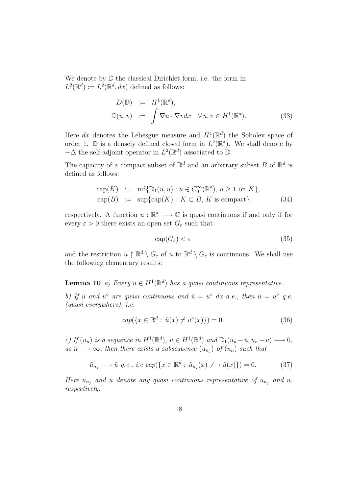We denote by  $\mathbb D$  the classical Dirichlet form, i.e. the form in  $L^2(\mathbb{R}^d) := L^2(\mathbb{R}^d, dx)$  defined as follows:

$$
D(\mathbb{D}) := H^{1}(\mathbb{R}^{d}),
$$
  

$$
\mathbb{D}(u, v) := \int \nabla \bar{u} \cdot \nabla v dx \quad \forall u, v \in H^{1}(\mathbb{R}^{d}).
$$
 (33)

Here dx denotes the Lebesgue measure and  $H^1(\mathbb{R}^d)$  the Sobolev space of order 1.  $\mathbb D$  is a densely defined closed form in  $L^2(\mathbb R^d)$ . We shall denote by  $-\Delta$  the self-adjoint operator in  $L^2(\mathbb{R}^d)$  associated to  $\mathbb{D}$ .

The capacity of a compact subset of  $\mathbb{R}^d$  and an arbitrary subset B of  $\mathbb{R}^d$  is defined as follows:

$$
cap(K) := inf{D1(u, u) : u \in C0\infty(\mathbb{R}d), u \ge 1 \text{ on } K},
$$
  
\n
$$
cap(B) := sup\{cap(K) : K \subset B, K \text{ is compact}\},
$$
\n(34)

respectively. A function  $u : \mathbb{R}^d \longrightarrow \mathbb{C}$  is quasi continuous if and only if for every  $\varepsilon > 0$  there exists an open set  $G_{\varepsilon}$  such that

$$
\operatorname{cap}(G_{\varepsilon}) < \varepsilon \tag{35}
$$

and the restriction  $u \restriction \mathbb{R}^d \setminus G_\varepsilon$  of  $u$  to  $\mathbb{R}^d \setminus G_\varepsilon$  is continuous. We shall use the following elementary results:

## **Lemma 10** a) Every  $u \in H^1(\mathbb{R}^d)$  has a quasi continuous representative.

b) If  $\tilde{u}$  and  $u^{\circ}$  are quasi continuous and  $\tilde{u} = u^{\circ} dx$ -a.e., then  $\tilde{u} = u^{\circ} q.e.$ (quasi everywhere), i.e.

$$
cap({x \in \mathbb{R}^d : \tilde{u}(x) \neq u^{\circ}(x)}) = 0.
$$
\n(36)

c) If  $(u_n)$  is a sequence in  $H^1(\mathbb{R}^d)$ ,  $u \in H^1(\mathbb{R}^d)$  and  $\mathbb{D}_1(u_n-u, u_n-u) \longrightarrow 0$ , as  $n \longrightarrow \infty$ , then there exists a subsequence  $(u_{n_j})$  of  $(u_n)$  such that

$$
\tilde{u}_{n_j} \longrightarrow \tilde{u} \quad q.e., \quad i.e. \quad \ncap(\lbrace x \in \mathbb{R}^d : \tilde{u}_{n_j}(x) \not\longrightarrow \tilde{u}(x) \rbrace) = 0. \tag{37}
$$

Here  $\tilde{u}_{n_j}$  and  $\tilde{u}$  denote any quasi continuous representative of  $u_{n_j}$  and  $u$ , respectively.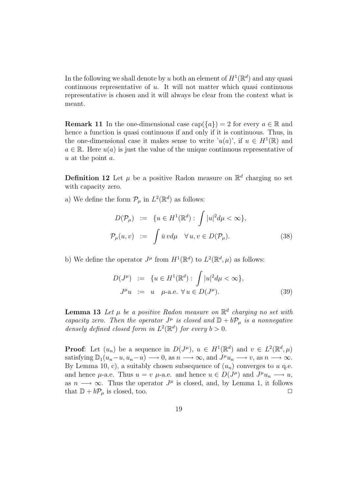In the following we shall denote by u both an element of  $H^1(\mathbb{R}^d)$  and any quasi continuous representative of  $u$ . It will not matter which quasi continuous representative is chosen and it will always be clear from the context what is meant.

**Remark 11** In the one-dimensional case  $cap({a}) = 2$  for every  $a \in \mathbb{R}$  and hence a function is quasi continuous if and only if it is continuous. Thus, in the one-dimensional case it makes sense to write ' $u(a)$ ', if  $u \in H^1(\mathbb{R})$  and  $a \in \mathbb{R}$ . Here  $u(a)$  is just the value of the unique continuous representative of u at the point a.

**Definition 12** Let  $\mu$  be a positive Radon measure on  $\mathbb{R}^d$  charging no set with capacity zero.

a) We define the form  $\mathcal{P}_{\mu}$  in  $L^2(\mathbb{R}^d)$  as follows:

$$
D(\mathcal{P}_{\mu}) := \{ u \in H^{1}(\mathbb{R}^{d}) : \int |u|^{2} d\mu < \infty \},\
$$
  

$$
\mathcal{P}_{\mu}(u,v) := \int \bar{u} \, v d\mu \quad \forall u, v \in D(\mathcal{P}_{\mu}).
$$
 (38)

b) We define the operator  $J^{\mu}$  from  $H^1(\mathbb{R}^d)$  to  $L^2(\mathbb{R}^d, \mu)$  as follows:

$$
D(J^{\mu}) := \{ u \in H^{1}(\mathbb{R}^{d}) : \int |u|^{2} d\mu < \infty \},
$$
  

$$
J^{\mu}u := u \quad \mu\text{-a.e. } \forall u \in D(J^{\mu}).
$$
 (39)

**Lemma 13** Let  $\mu$  be a positive Radon measure on  $\mathbb{R}^d$  charging no set with capacity zero. Then the operator  $J^{\mu}$  is closed and  $\mathbb{D} + b\mathcal{P}_{\mu}$  is a nonnegative densely defined closed form in  $L^2(\mathbb{R}^d)$  for every  $b > 0$ .

**Proof**: Let  $(u_n)$  be a sequence in  $D(J^{\mu})$ ,  $u \in H^1(\mathbb{R}^d)$  and  $v \in L^2(\mathbb{R}^d, \mu)$ satisfying  $\mathbb{D}_1(u_n-u, u_n-u) \longrightarrow 0$ , as  $n \longrightarrow \infty$ , and  $J^{\mu}u_n \longrightarrow v$ , as  $n \longrightarrow \infty$ . By Lemma 10, c), a suitably chosen subsequence of  $(u_n)$  converges to u q.e. and hence  $\mu$ -a.e. Thus  $u = v$   $\mu$ -a.e. and hence  $u \in D(J^{\mu})$  and  $J^{\mu}u_{n} \longrightarrow u$ , as  $n \longrightarrow \infty$ . Thus the operator  $J^{\mu}$  is closed, and, by Lemma 1, it follows that  $\mathbb{D} + b\mathcal{P}_{\mu}$  is closed, too.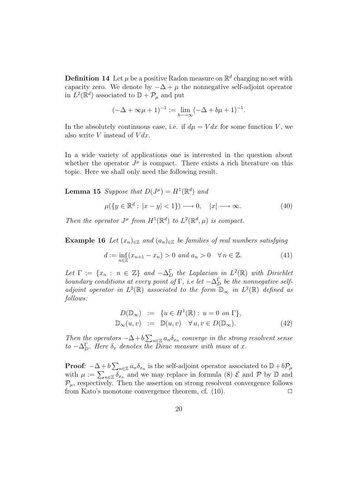**Definition 14** Let  $\mu$  be a positive Radon measure on  $\mathbb{R}^d$  charging no set with capacity zero. We denote by  $-\Delta + \mu$  the nonnegative self-adjoint operator in  $L^2(\mathbb{R}^d)$  associated to  $\mathbb{D} + \mathcal{P}_\mu$  and put

$$
(-\Delta + \infty \mu + 1)^{-1} := \lim_{b \to \infty} (-\Delta + b\mu + 1)^{-1}.
$$

In the absolutely continuous case, i.e. if  $d\mu = V dx$  for some function V, we also write  $V$  instead of  $V dx$ .

In a wide variety of applications one is interested in the question about whether the operator  $J^{\mu}$  is compact. There exists a rich literature on this topic. Here we shall only need the following result.

**Lemma 15** Suppose that  $D(J^{\mu}) = H^{1}(\mathbb{R}^{d})$  and

$$
\mu({y \in \mathbb{R}^d : |x - y| < 1}) \longrightarrow 0, \quad |x| \longrightarrow \infty. \tag{40}
$$

Then the operator  $J^{\mu}$  from  $H^{1}(\mathbb{R}^{d})$  to  $L^{2}(\mathbb{R}^{d},\mu)$  is compact.

**Example 16** Let  $(x_n)_{n \in \mathbb{Z}}$  and  $(a_n)_{n \in \mathbb{Z}}$  be families of real numbers satisfying

$$
d := \inf_{n \in \mathbb{Z}} (x_{n+1} - x_n) > 0 \text{ and } a_n > 0 \quad \forall n \in \mathbb{Z}.
$$
 (41)

Let  $\Gamma := \{x_n : n \in \mathbb{Z}\}\$  and  $-\Delta_D^{\Gamma}$  the Laplacian in  $L^2(\mathbb{R})$  with Dirichlet boundary conditions at every point of  $\Gamma$ , i.e let  $-\Delta_D^{\Gamma}$  be the nonnegative selfadjoint operator in  $L^2(\mathbb{R})$  associated to the form  $\mathbb{D}_{\infty}$  in  $L^2(\mathbb{R})$  defined as follows:

$$
D(\mathbb{D}_{\infty}) := \{ u \in H^{1}(\mathbb{R}) : u = 0 \text{ on } \Gamma \},
$$
  

$$
\mathbb{D}_{\infty}(u, v) := \mathbb{D}(u, v) \quad \forall u, v \in D(\mathbb{D}_{\infty}).
$$
 (42)

Then the operators  $-\Delta + b \sum_{n \in \mathbb{Z}} a_n \delta_{x_n}$  converge in the strong resolvent sense to  $-\Delta_D^{\Gamma}$ . Here  $\delta_x$  denotes the Dirac measure with mass at x.

**Proof**:  $-\Delta + b \sum_{n \in \mathbb{Z}} a_n \delta_{x_n}$  is the self-adjoint operator associated to  $\mathbb{D} + b\mathcal{P}_\mu$ with  $\mu := \sum_{n \in \mathbb{Z}} \delta_{x_n}$  and we may replace in formula (8)  $\mathcal{E}$  and  $\mathcal{P}$  by  $\mathbb{D}$  and  $\mathcal{P}_{\mu}$ , respectively. Then the assertion on strong resolvent convergence follows from Kato's monotone convergence theorem, cf.  $(10)$ .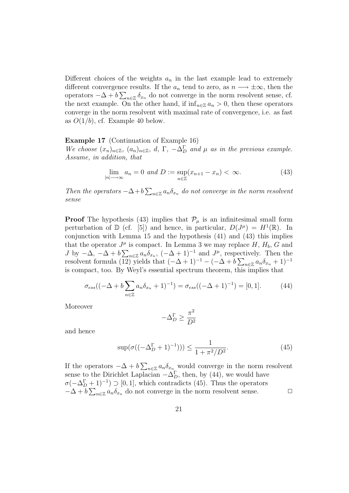Different choices of the weights  $a_n$  in the last example lead to extremely different convergence results. If the  $a_n$  tend to zero, as  $n \longrightarrow \pm \infty$ , then the operators  $-\Delta + b \sum_{n \in \mathbb{Z}} \delta_{x_n}$  do not converge in the norm resolvent sense, cf. the next example. On the other hand, if  $\inf_{n\in\mathbb{Z}} a_n > 0$ , then these operators converge in the norm resolvent with maximal rate of convergence, i.e. as fast as  $O(1/b)$ , cf. Example 40 below.

#### Example 17 (Continuation of Example 16)

We choose  $(x_n)_{n\in\mathbb{Z}}$ ,  $(a_n)_{n\in\mathbb{Z}}$ ,  $d$ ,  $\Gamma$ ,  $-\Delta_D^{\Gamma}$  and  $\mu$  as in the previous example. Assume, in addition, that

$$
\lim_{|n| \to \infty} a_n = 0 \text{ and } D := \sup_{n \in \mathbb{Z}} (x_{n+1} - x_n) < \infty. \tag{43}
$$

Then the operators  $-\Delta + b \sum_{n \in \mathbb{Z}} a_n \delta_{x_n}$  do not converge in the norm resolvent sense

**Proof** The hypothesis (43) implies that  $\mathcal{P}_{\mu}$  is an infinitesimal small form perturbation of  $\mathbb{D}$  (cf. [5]) and hence, in particular,  $D(J^{\mu}) = H^{1}(\mathbb{R})$ . In conjunction with Lemma 15 and the hypothesis (41) and (43) this implies that the operator  $J^{\mu}$  is compact. In Lemma 3 we may replace H,  $H_b$ , G and J by  $-\Delta$ ,  $-\Delta + b \sum_{n \in \mathbb{Z}} a_n \delta_{x_n}$ ,  $(-\Delta + 1)^{-1}$  and  $J^{\mu}$ , respectively. Then the resolvent formula  $(12)$  yields that  $(-\Delta + 1)^{-1} - (-\Delta + b \sum_{n \in \mathbb{Z}} a_n \delta_{x_n} + 1)^{-1}$ is compact, too. By Weyl's essential spectrum theorem, this implies that

$$
\sigma_{ess}((-\Delta + b\sum_{n\in\mathbb{Z}} a_n \delta_{x_n} + 1)^{-1}) = \sigma_{ess}((-\Delta + 1)^{-1}) = [0, 1].
$$
 (44)

Moreover

$$
-\Delta_D^{\Gamma} \ge \frac{\pi^2}{D^2}
$$

and hence

$$
\sup(\sigma((-\Delta_D^{\Gamma} + 1)^{-1}))) \le \frac{1}{1 + \pi^2/D^2}.\tag{45}
$$

If the operators  $-\Delta + b \sum_{n \in \mathbb{Z}} a_n \delta_{x_n}$  would converge in the norm resolvent sense to the Dirichlet Laplacian  $-\Delta_D^{\Gamma}$ , then, by (44), we would have  $\sigma(-\Delta_D^{\Gamma}+1)^{-1}$   $\supset$  [0, 1], which contradicts (45). Thus the operators  $-\Delta + b \sum_{n \in \mathbb{Z}} a_n \delta_{x_n}$  do not converge in the norm resolvent sense.  $\Box$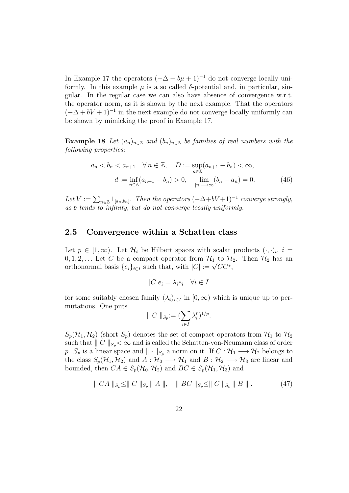In Example 17 the operators  $(-\Delta + b\mu + 1)^{-1}$  do not converge locally uniformly. In this example  $\mu$  is a so called  $\delta$ -potential and, in particular, singular. In the regular case we can also have absence of convergence w.r.t. the operator norm, as it is shown by the next example. That the operators  $(-\Delta + bV + 1)^{-1}$  in the next example do not converge locally uniformly can be shown by mimicking the proof in Example 17.

**Example 18** Let  $(a_n)_{n\in\mathbb{Z}}$  and  $(b_n)_{n\in\mathbb{Z}}$  be families of real numbers with the following properties:

$$
a_n < b_n < a_{n+1} \quad \forall \, n \in \mathbb{Z}, \quad D := \sup_{n \in \mathbb{Z}} (a_{n+1} - b_n) < \infty,
$$
\n
$$
d := \inf_{n \in \mathbb{Z}} (a_{n+1} - b_n) > 0, \quad \lim_{|n| \to \infty} (b_n - a_n) = 0. \tag{46}
$$

Let  $V := \sum_{n \in \mathbb{Z}} 1_{[a_n, b_n]}$ . Then the operators  $(-\Delta + bV + 1)^{-1}$  converge strongly, as b tends to infinity, but do not converge locally uniformly.

## 2.5 Convergence within a Schatten class

Let  $p \in [1,\infty)$ . Let  $\mathcal{H}_i$  be Hilbert spaces with scalar products  $(\cdot,\cdot)_i$ ,  $i =$  $0, 1, 2, \ldots$  Let C be a compact operator from  $\mathcal{H}_1$  to  $\mathcal{H}_2$ . Then  $\mathcal{H}_2$  has an orthonormal basis  $\{e_i\}_{i\in I}$  such that, with  $|C| := \sqrt{CC^*}$ ,

$$
|C|e_i = \lambda_i e_i \quad \forall i \in I
$$

for some suitably chosen family  $(\lambda_i)_{i\in I}$  in  $[0,\infty)$  which is unique up to permutations. One puts

$$
\parallel C \parallel_{S_p} := (\sum_{i \in I} \lambda_i^p)^{1/p}.
$$

 $S_p(\mathcal{H}_1, \mathcal{H}_2)$  (short  $S_p$ ) denotes the set of compact operators from  $\mathcal{H}_1$  to  $\mathcal{H}_2$ such that  $|| C ||_{S_n} < \infty$  and is called the Schatten-von-Neumann class of order p.  $S_p$  is a linear space and  $\|\cdot\|_{S_p}$  a norm on it. If  $C : \mathcal{H}_1 \longrightarrow \mathcal{H}_2$  belongs to the class  $S_p(\mathcal{H}_1, \mathcal{H}_2)$  and  $A: \mathcal{H}_0 \longrightarrow \mathcal{H}_1$  and  $B: \mathcal{H}_2 \longrightarrow \mathcal{H}_3$  are linear and bounded, then  $CA \in S_p(\mathcal{H}_0, \mathcal{H}_2)$  and  $BC \in S_p(\mathcal{H}_1, \mathcal{H}_3)$  and

$$
\| CA \|_{S_p} \le \| C \|_{S_p} \| A \|, \| BC \|_{S_p} \le \| C \|_{S_p} \| B \|.
$$
 (47)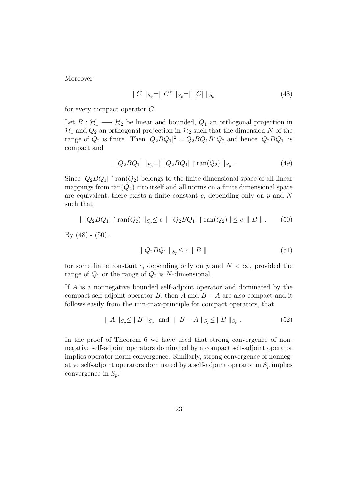Moreover

$$
\| C \|_{S_p} = \| C^* \|_{S_p} = \| |C| \|_{S_p}
$$
\n(48)

for every compact operator C.

Let  $B: \mathcal{H}_1 \longrightarrow \mathcal{H}_2$  be linear and bounded,  $Q_1$  an orthogonal projection in  $\mathcal{H}_1$  and  $Q_2$  an orthogonal projection in  $\mathcal{H}_2$  such that the dimension N of the range of  $Q_2$  is finite. Then  $|Q_2BQ_1|^2 = Q_2BQ_1B^*Q_2$  and hence  $|Q_2BQ_1|$  is compact and

$$
\| |Q_2 B Q_1| \|_{S_p} = \| |Q_2 B Q_1| \upharpoonright \text{ran}(Q_2) \|_{S_p} . \tag{49}
$$

Since  $|Q_2BQ_1|$   $\restriction$  ran $(Q_2)$  belongs to the finite dimensional space of all linear mappings from  $ran(Q_2)$  into itself and all norms on a finite dimensional space are equivalent, there exists a finite constant  $c$ , depending only on  $p$  and  $N$ such that

$$
\| |Q_2 B Q_1| \upharpoonright \text{ran}(Q_2) \|_{S_p} \le c \| |Q_2 B Q_1| \upharpoonright \text{ran}(Q_2) \| \le c \| B \|.
$$
 (50)

By  $(48) - (50)$ ,

$$
\parallel Q_2 B Q_1 \parallel_{S_p} \leq c \parallel B \parallel \tag{51}
$$

for some finite constant c, depending only on p and  $N < \infty$ , provided the range of  $Q_1$  or the range of  $Q_2$  is N-dimensional.

If A is a nonnegative bounded self-adjoint operator and dominated by the compact self-adjoint operator B, then A and  $B - A$  are also compact and it follows easily from the min-max-principle for compact operators, that

$$
|| A ||_{S_p} \le || B ||_{S_p}
$$
 and  $|| B - A ||_{S_p} \le || B ||_{S_p}$ . (52)

In the proof of Theorem 6 we have used that strong convergence of nonnegative self-adjoint operators dominated by a compact self-adjoint operator implies operator norm convergence. Similarly, strong convergence of nonnegative self-adjoint operators dominated by a self-adjoint operator in  $S_p$  implies convergence in  $S_p$ :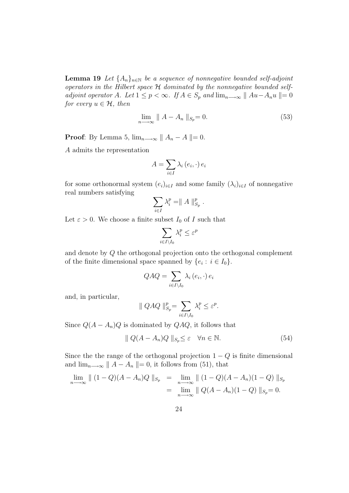**Lemma 19** Let  $\{A_n\}_{n\in\mathbb{N}}$  be a sequence of nonnegative bounded self-adjoint operators in the Hilbert space  $H$  dominated by the nonnegative bounded selfadjoint operator A. Let  $1 \leq p < \infty$ . If  $A \in S_p$  and  $\lim_{n \to \infty} ||Au - A_nu|| = 0$ for every  $u \in \mathcal{H}$ , then

$$
\lim_{n \to \infty} \| A - A_n \|_{S_p} = 0. \tag{53}
$$

**Proof:** By Lemma 5,  $\lim_{n\to\infty} || A_n - A || = 0$ .

A admits the representation

$$
A = \sum_{i \in I} \lambda_i (e_i, \cdot) e_i
$$

for some orthonormal system  $(e_i)_{i\in I}$  and some family  $(\lambda_i)_{i\in I}$  of nonnegative real numbers satisfying

$$
\sum_{i\in I}\lambda_i^p=\parallel A\parallel_{S_p}^p.
$$

Let  $\varepsilon > 0$ . We choose a finite subset  $I_0$  of I such that

$$
\sum_{i\in I\backslash I_0}\lambda_i^p\leq \varepsilon^p
$$

and denote by Q the orthogonal projection onto the orthogonal complement of the finite dimensional space spanned by  $\{e_i : i \in I_0\}.$ 

$$
QAQ = \sum_{i \in I \setminus I_0} \lambda_i (e_i, \cdot) e_i
$$

and, in particular,

$$
\| \ QAQ \|_{S_p}^p = \sum_{i \in I \setminus I_0} \lambda_i^p \le \varepsilon^p.
$$

Since  $Q(A - A_n)Q$  is dominated by  $QAQ$ , it follows that

$$
\|Q(A - A_n)Q\|_{S_p} \le \varepsilon \quad \forall n \in \mathbb{N}.\tag{54}
$$

Since the the range of the orthogonal projection  $1 - Q$  is finite dimensional and  $\lim_{n\to\infty}$   $|| A - A_n || = 0$ , it follows from (51), that

$$
\lim_{n \to \infty} || (1 - Q)(A - A_n)Q ||_{S_p} = \lim_{n \to \infty} || (1 - Q)(A - A_n)(1 - Q) ||_{S_p}
$$
  
= 
$$
\lim_{n \to \infty} || Q(A - A_n)(1 - Q) ||_{S_p} = 0.
$$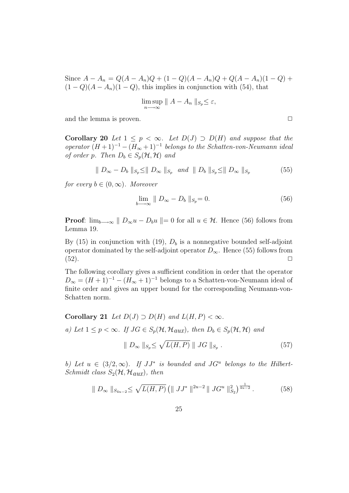Since  $A - A_n = Q(A - A_n)Q + (1 - Q)(A - A_n)Q + Q(A - A_n)(1 - Q) +$  $(1 - Q)(A - A_n)(1 - Q)$ , this implies in conjunction with (54), that

$$
\limsup_{n\longrightarrow\infty}\|A-A_n\|_{S_p}\leq\varepsilon,
$$

and the lemma is proven.  $\Box$ 

Corollary 20 Let  $1 \leq p \leq \infty$ . Let  $D(J) \supset D(H)$  and suppose that the operator  $(H+1)^{-1} - (H_{\infty}+1)^{-1}$  belongs to the Schatten-von-Neumann ideal of order p. Then  $D_b \in S_p(H, H)$  and

$$
\| D_{\infty} - D_b \|_{S_p} \le \| D_{\infty} \|_{S_p} \text{ and } \| D_b \|_{S_p} \le \| D_{\infty} \|_{S_p} \tag{55}
$$

for every  $b \in (0, \infty)$ . Moreover

$$
\lim_{b \to \infty} \| D_{\infty} - D_b \|_{S_p} = 0. \tag{56}
$$

**Proof:**  $\lim_{b\to\infty}$   $||D_{\infty}u - D_{b}u|| = 0$  for all  $u \in \mathcal{H}$ . Hence (56) follows from Lemma 19.

By (15) in conjunction with (19),  $D_b$  is a nonnegative bounded self-adjoint operator dominated by the self-adjoint operator  $D_{\infty}$ . Hence (55) follows from (52).  $(52).$ 

The following corollary gives a sufficient condition in order that the operator  $D_{\infty} = (H + 1)^{-1} - (H_{\infty} + 1)^{-1}$  belongs to a Schatten-von-Neumann ideal of finite order and gives an upper bound for the corresponding Neumann-von-Schatten norm.

Corollary 21 Let  $D(J) \supset D(H)$  and  $L(H, P) < \infty$ . a) Let  $1 \leq p \leq \infty$ . If  $JG \in S_p(H, \mathcal{H}_{aux})$ , then  $D_b \in S_p(H, \mathcal{H})$  and

$$
\parallel D_{\infty} \parallel_{S_p} \leq \sqrt{L(H, P)} \parallel JG \parallel_{S_p} . \tag{57}
$$

b) Let  $u \in (3/2,\infty)$ . If  $JJ^*$  is bounded and  $JG^u$  belongs to the Hilbert-Schmidt class  $S_2(\mathcal{H}, \mathcal{H}_{aux})$ , then

$$
\| D_{\infty} \|_{S_{4u-2}} \leq \sqrt{L(H, P)} \left( \| J J^* \|^{2u-2} \| J G^u \|_{S_2}^2 \right)^{\frac{1}{4u-2}}.
$$
 (58)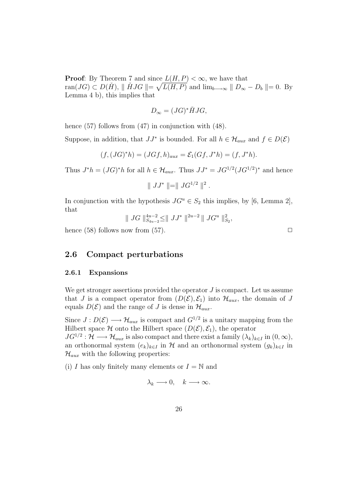**Proof:** By Theorem 7 and since  $L(H, P) < \infty$ , we have that ran( $JG$ )  $\subset D(\check{H})$ ,  $\parallel \check{H}JG \parallel = \sqrt{L(H, P)}$  and  $\lim_{b \to \infty} \parallel D_{\infty} - D_b \parallel = 0$ . By Lemma 4 b), this implies that

$$
D_{\infty} = (JG)^{*} \check{H} JG,
$$

hence (57) follows from (47) in conjunction with (48).

Suppose, in addition, that  $JJ^*$  is bounded. For all  $h \in \mathcal{H}_{aux}$  and  $f \in D(\mathcal{E})$ 

$$
(f, (JG)^*h) = (JGf, h)_{aux} = \mathcal{E}_1(Gf, J^*h) = (f, J^*h).
$$

Thus  $J^*h = (JG)^*h$  for all  $h \in \mathcal{H}_{aux}$ . Thus  $JJ^* = JG^{1/2}(JG^{1/2})^*$  and hence

$$
\parallel JJ^* \parallel = \parallel J G^{1/2} \parallel^2.
$$

In conjunction with the hypothesis  $JG^u \in S_2$  this implies, by [6, Lemma 2], that

$$
\| \hspace{.1cm} JG \hspace{.1cm} \|_{S_{4u-2}}^{4u-2} \leq \| \hspace{.1cm} JJ^* \hspace{.1cm} \|^{2u-2} \hspace{.1cm} \| \hspace{.1cm} JJ^* \hspace{.1cm} \|_{S_2}^2,
$$

hence (58) follows now from (57).  $\square$ 

## 2.6 Compact perturbations

#### 2.6.1 Expansions

We get stronger assertions provided the operator  $J$  is compact. Let us assume that J is a compact operator from  $(D(\mathcal{E}), \mathcal{E}_1)$  into  $\mathcal{H}_{aux}$ , the domain of J equals  $D(\mathcal{E})$  and the range of J is dense in  $\mathcal{H}_{aux}$ .

Since  $J: D(\mathcal{E}) \longrightarrow \mathcal{H}_{aux}$  is compact and  $G^{1/2}$  is a unitary mapping from the Hilbert space H onto the Hilbert space  $(D(\mathcal{E}), \mathcal{E}_1)$ , the operator

 $JG^{1/2}: \mathcal{H} \longrightarrow \mathcal{H}_{aux}$  is also compact and there exist a family  $(\lambda_k)_{k\in I}$  in  $(0,\infty)$ , an orthonormal system  $(e_k)_{k\in I}$  in H and an orthonormal system  $(g_k)_{k\in I}$  in  $\mathcal{H}_{aux}$  with the following properties:

(i) I has only finitely many elements or  $I = \mathbb{N}$  and

$$
\lambda_k \longrightarrow 0, \quad k \longrightarrow \infty.
$$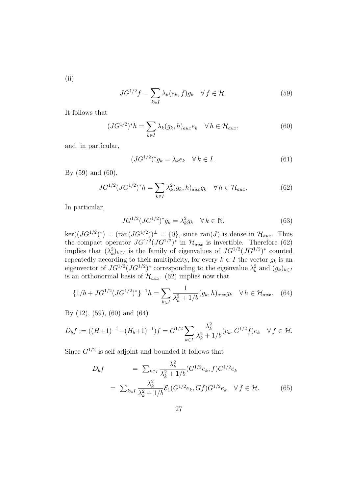(ii)

$$
J G^{1/2} f = \sum_{k \in I} \lambda_k(e_k, f) g_k \quad \forall f \in \mathcal{H}.
$$
 (59)

It follows that

$$
(JG^{1/2})^*h = \sum_{k \in I} \lambda_k (g_k, h)_{aux} e_k \quad \forall h \in \mathcal{H}_{aux}, \tag{60}
$$

and, in particular,

$$
(JG^{1/2})^*g_k = \lambda_k e_k \quad \forall \, k \in I. \tag{61}
$$

By  $(59)$  and  $(60)$ ,

$$
JG^{1/2}(JG^{1/2})^*h = \sum_{k \in I} \lambda_k^2 (g_k, h)_{aux} g_k \quad \forall \, h \in \mathcal{H}_{aux}.
$$
 (62)

In particular,

$$
JG^{1/2}(JG^{1/2})^*g_k = \lambda_k^2 g_k \quad \forall \, k \in \mathbb{N}.\tag{63}
$$

 $\ker((JG^{1/2})^*) = (\tan(JG^{1/2}))^{\perp} = \{0\},\$  since  $\text{ran}(J)$  is dense in  $\mathcal{H}_{aux}$ . Thus the compact operator  $JG^{1/2}(JG^{1/2})^*$  in  $\mathcal{H}_{aux}$  is invertible. Therefore (62) implies that  $(\lambda_k^2)_{k \in I}$  is the family of eigenvalues of  $J G^{1/2} (J G^{1/2})^*$  counted repeatedly according to their multiplicity, for every  $k \in I$  the vector  $g_k$  is an eigenvector of  $JG^{1/2}(JG^{1/2})^*$  corresponding to the eigenvalue  $\lambda_k^2$  and  $(g_k)_{k\in I}$ is an orthonormal basis of  $\mathcal{H}_{aux}$ . (62) implies now that

$$
\{1/b + J G^{1/2} (J G^{1/2})^* \}^{-1} h = \sum_{k \in I} \frac{1}{\lambda_k^2 + 1/b} (g_k, h)_{aux} g_k \quad \forall \, h \in \mathcal{H}_{aux}.
$$
 (64)

By (12), (59), (60) and (64)

$$
D_b f := ((H+1)^{-1} - (H_b+1)^{-1})f = G^{1/2} \sum_{k \in I} \frac{\lambda_k^2}{\lambda_k^2 + 1/b} (e_k, G^{1/2} f) e_k \quad \forall f \in \mathcal{H}.
$$

Since  $G^{1/2}$  is self-adjoint and bounded it follows that

$$
D_b f = \sum_{k \in I} \frac{\lambda_k^2}{\lambda_k^2 + 1/b} (G^{1/2} e_k, f) G^{1/2} e_k
$$
  

$$
= \sum_{k \in I} \frac{\lambda_k^2}{\lambda_k^2 + 1/b} \mathcal{E}_1 (G^{1/2} e_k, Gf) G^{1/2} e_k \quad \forall f \in \mathcal{H}.
$$
 (65)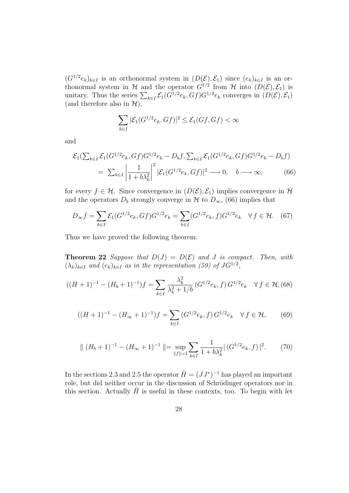$(G^{1/2}e_k)_{k\in I}$  is an orthonormal system in  $(D(\mathcal{E}), \mathcal{E}_1)$  since  $(e_k)_{k\in I}$  is an orthonormal system in H and the operator  $G^{1/2}$  from H into  $(D(\mathcal{E}), \mathcal{E}_1)$  is unitary. Thus the series  $\sum_{k\in I} \mathcal{E}_1(G^{1/2}e_k, Gf)G^{1/2}e_k$  converges in  $(D(\mathcal{E}), \mathcal{E}_1)$ (and therefore also in  $\mathcal{H}$ ),

$$
\sum_{k\in I} |\mathcal{E}_1(G^{1/2}e_k, Gf)|^2 \le \mathcal{E}_1(Gf, Gf) < \infty
$$

and

$$
\mathcal{E}_1(\sum_{k \in I} \mathcal{E}_1(G^{1/2}e_k, Gf)G^{1/2}e_k - D_bf, \sum_{k \in I} \mathcal{E}_1(G^{1/2}e_k, Gf)G^{1/2}e_k - D_bf)
$$
  
=  $\sum_{k \in I} \left| \frac{1}{1 + b\lambda_k^2} \right|^2 |\mathcal{E}_1(G^{1/2}e_k, Gf)|^2 \longrightarrow 0, \quad b \longrightarrow \infty,$  (66)

for every  $f \in \mathcal{H}$ . Since convergence in  $(D(\mathcal{E}), \mathcal{E}_1)$  implies convergence in  $\mathcal{H}$ and the operators  $D_b$  strongly converge in  $H$  to  $D_{\infty}$ , (66) implies that

$$
D_{\infty}f = \sum_{k \in I} \mathcal{E}_1(G^{1/2}e_k, Gf)G^{1/2}e_k = \sum_{k \in I} (G^{1/2}e_k, f)G^{1/2}e_k \quad \forall f \in \mathcal{H}.
$$
 (67)

Thus we have proved the following theorem.

**Theorem 22** Suppose that  $D(J) = D(\mathcal{E})$  and J is compact. Then, with  $(\lambda_k)_{k \in I}$  and  $(e_k)_{k \in I}$  as in the representation (59) of  $J G^{1/2}$ ,

$$
((H+1)^{-1} - (H_b+1)^{-1})f = \sum_{k \in I} \frac{\lambda_k^2}{\lambda_k^2 + 1/b} \left( G^{1/2} e_k, f \right) G^{1/2} e_k \quad \forall f \in \mathcal{H}, (68)
$$

$$
((H+1)^{-1} - (H_{\infty}+1)^{-1})f = \sum_{k \in I} (G^{1/2}e_k, f) G^{1/2}e_k \quad \forall f \in \mathcal{H}, \qquad (69)
$$

$$
\| (H_b + 1)^{-1} - (H_\infty + 1)^{-1} \| = \sup_{\|f\| = 1} \sum_{k \in I} \frac{1}{1 + b\lambda_k^2} |(G^{1/2}e_k, f)|^2. \tag{70}
$$

In the sections 2.3 and 2.5 the operator  $\check{H} = (JJ^*)^{-1}$  has played an important role, but did neither occur in the discussion of Schrödinger operators nor in this section. Actually  $H$  is useful in these contexts, too. To begin with let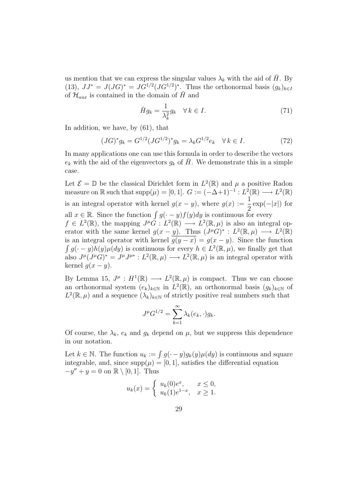us mention that we can express the singular values  $\lambda_k$  with the aid of H. By (13),  $JJ^* = J(JG)^* = JG^{1/2}(JG^{1/2})^*$ . Thus the orthonormal basis  $(g_k)_{k \in I}$ of  $\mathcal{H}_{aux}$  is contained in the domain of  $\tilde{H}$  and

$$
\check{H}g_k = \frac{1}{\lambda_k^2} g_k \quad \forall \, k \in I. \tag{71}
$$

In addition, we have, by (61), that

$$
(JG)^* g_k = G^{1/2} (JG^{1/2})^* g_k = \lambda_k G^{1/2} e_k \quad \forall \, k \in I. \tag{72}
$$

In many applications one can use this formula in order to describe the vectors  $e_k$  with the aid of the eigenvectors  $g_k$  of H. We demonstrate this in a simple case.

Let  $\mathcal{E} = \mathbb{D}$  be the classical Dirichlet form in  $L^2(\mathbb{R})$  and  $\mu$  a positive Radon measure on R such that  $\text{supp}(\mu) = [0,1]$ .  $G := (-\Delta+1)^{-1} : L^2(\mathbb{R}) \longrightarrow L^2(\mathbb{R})$ is an integral operator with kernel  $g(x - y)$ , where  $g(x) := \frac{1}{2} \exp(-|x|)$  for all  $x \in \mathbb{R}$ . Since the function  $\int g(\cdot - y)f(y)dy$  is continuous for every  $f \in L^2(\mathbb{R})$ , the mapping  $J^{\mu}G : L^2(\mathbb{R}) \longrightarrow L^2(\mathbb{R}, \mu)$  is also an integral operator with the same kernel  $g(x - y)$ . Thus  $(J^{\mu}G)^* : L^2(\mathbb{R}, \mu) \longrightarrow L^2(\mathbb{R})$ is an integral operator with kernel  $g(y-x) = g(x-y)$ . Since the function  $\int g(\cdot - y)h(y)\mu(dy)$  is continuous for every  $h \in L^2(\mathbb{R}, \mu)$ , we finally get that also  $J^{\mu}(J^{\mu}G)^{*}=J^{\mu}J^{\mu*}:L^{2}(\mathbb{R},\mu)\longrightarrow L^{2}(\mathbb{R},\mu)$  is an integral operator with kernel  $q(x - y)$ .

By Lemma 15,  $J^{\mu}: H^1(\mathbb{R}) \longrightarrow L^2(\mathbb{R}, \mu)$  is compact. Thus we can choose an orthonormal system  $(e_k)_{k\in\mathbb{N}}$  in  $L^2(\mathbb{R})$ , an orthonormal basis  $(g_k)_{k\in\mathbb{N}}$  of  $L^2(\mathbb{R}, \mu)$  and a sequence  $(\lambda_k)_{k \in \mathbb{N}}$  of strictly positive real numbers such that

$$
J^{\mu}G^{1/2} = \sum_{k=1}^{\infty} \lambda_k(e_k, \cdot)g_k.
$$

Of course, the  $\lambda_k$ ,  $e_k$  and  $g_k$  depend on  $\mu$ , but we suppress this dependence in our notation.

Let  $k \in \mathbb{N}$ . The function  $u_k := \int g(\cdot - y)g_k(y)\mu(dy)$  is continuous and square integrable, and, since  $\text{supp}(\mu) = [0, 1]$ , satisfies the differential equation  $-y'' + y = 0$  on  $\mathbb{R} \setminus [0,1]$ . Thus

$$
u_k(x) = \begin{cases} u_k(0)e^x, & x \le 0, \\ u_k(1)e^{1-x}, & x \ge 1. \end{cases}
$$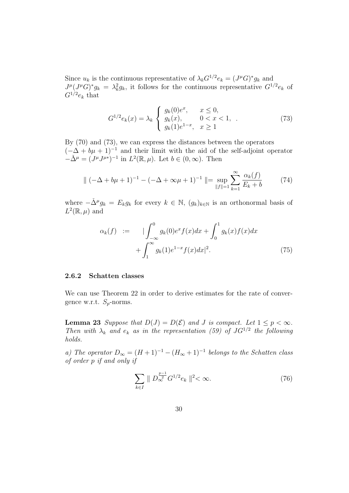Since  $u_k$  is the continuous representative of  $\lambda_k G^{1/2} e_k = (J^{\mu} G)^* g_k$  and  $J^{\mu}(J^{\mu}G)^{*}g_{k} = \lambda_{k}^{2}g_{k}$ , it follows for the continuous representative  $G^{1/2}e_{k}$  of  $G^{1/2}e_k$  that

$$
G^{1/2}e_k(x) = \lambda_k \begin{cases} g_k(0)e^x, & x \le 0, \\ g_k(x), & 0 < x < 1, \\ g_k(1)e^{1-x}, & x \ge 1 \end{cases}
$$
 (73)

By (70) and (73), we can express the distances between the operators  $(-\Delta + b\mu + 1)^{-1}$  and their limit with the aid of the self-adjoint operator  $-\check{\Delta}^{\mu} = (J^{\mu}J^{\mu*})^{-1}$  in  $L^2(\mathbb{R}, \mu)$ . Let  $b \in (0, \infty)$ . Then

$$
\|(-\Delta + b\mu + 1)^{-1} - (-\Delta + \infty\mu + 1)^{-1}\| = \sup_{\|f\|=1} \sum_{k=1}^{\infty} \frac{\alpha_k(f)}{E_k + b}
$$
(74)

where  $-\check{\Delta}^{\mu}g_k = E_k g_k$  for every  $k \in \mathbb{N}$ ,  $(g_k)_{k \in \mathbb{N}}$  is an orthonormal basis of  $L^2(\mathbb{R}, \mu)$  and

$$
\alpha_k(f) := \int_{-\infty}^0 g_k(0)e^x f(x) dx + \int_0^1 g_k(x)f(x) dx
$$

$$
+ \int_1^\infty g_k(1)e^{1-x} f(x) dx|^2. \tag{75}
$$

#### 2.6.2 Schatten classes

We can use Theorem 22 in order to derive estimates for the rate of convergence w.r.t.  $S_p$ -norms.

**Lemma 23** Suppose that  $D(J) = D(\mathcal{E})$  and J is compact. Let  $1 \leq p < \infty$ . Then with  $\lambda_k$  and  $e_k$  as in the representation (59) of  $JG^{1/2}$  the following holds.

a) The operator  $D_{\infty} = (H+1)^{-1} - (H_{\infty}+1)^{-1}$  belongs to the Schatten class of order p if and only if

$$
\sum_{k \in I} \| D_{\infty}^{\frac{p-1}{2}} G^{1/2} e_k \|^2 < \infty.
$$
 (76)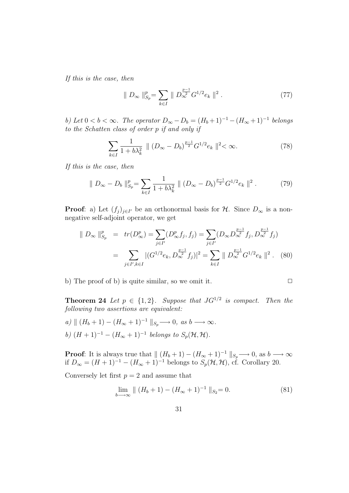If this is the case, then

$$
\| D_{\infty} \|_{S_p}^p = \sum_{k \in I} \| D_{\infty}^{\frac{p-1}{2}} G^{1/2} e_k \|^2 . \tag{77}
$$

b) Let  $0 < b < \infty$ . The operator  $D_{\infty} - D_b = (H_b + 1)^{-1} - (H_{\infty} + 1)^{-1}$  belongs to the Schatten class of order p if and only if

$$
\sum_{k \in I} \frac{1}{1 + b\lambda_k^2} \parallel (D_{\infty} - D_b)^{\frac{p-1}{2}} G^{1/2} e_k \parallel^2 < \infty.
$$
 (78)

If this is the case, then

$$
\| D_{\infty} - D_b \|_{S_p}^p = \sum_{k \in I} \frac{1}{1 + b\lambda_k^2} \| (D_{\infty} - D_b)^{\frac{p-1}{2}} G^{1/2} e_k \|^2.
$$
 (79)

**Proof**: a) Let  $(f_j)_{j\in I'}$  be an orthonormal basis for  $H$ . Since  $D_{\infty}$  is a nonnegative self-adjoint operator, we get

$$
\| D_{\infty} \|_{S_p}^p = tr(D_{\infty}^p) = \sum_{j \in I'} (D_{\infty}^p f_j, f_j) = \sum_{j \in I'} (D_{\infty} D_{\infty}^{\frac{p-1}{2}} f_j, D_{\infty}^{\frac{p-1}{2}} f_j)
$$
  

$$
= \sum_{j \in I', k \in I} |(G^{1/2} e_k, D_{\infty}^{\frac{p-1}{2}} f_j)|^2 = \sum_{k \in I} \| D_{\infty}^{\frac{p-1}{2}} G^{1/2} e_k \|^2. \quad (80)
$$

b) The proof of b) is quite similar, so we omit it.  $\square$ 

**Theorem 24** Let  $p \in \{1,2\}$ . Suppose that  $JG^{1/2}$  is compact. Then the following two assertions are equivalent:

a)  $|| (H_b + 1) - (H_\infty + 1)^{-1} ||_{S_p} \longrightarrow 0, \text{ as } b \longrightarrow \infty.$ b)  $(H + 1)^{-1} - (H_{\infty} + 1)^{-1}$  belongs to  $S_p(H, H)$ .

**Proof:** It is always true that  $\| (H_b + 1) - (H_\infty + 1)^{-1} \|_{S_p} \longrightarrow 0$ , as  $b \longrightarrow \infty$ if  $D_{\infty} = (H + 1)^{-1} - (H_{\infty} + 1)^{-1}$  belongs to  $S_p(\mathcal{H}, \mathcal{H})$ , cf. Corollary 20.

Conversely let first  $p = 2$  and assume that

$$
\lim_{b \to \infty} \| (H_b + 1) - (H_{\infty} + 1)^{-1} \|_{S_2} = 0.
$$
 (81)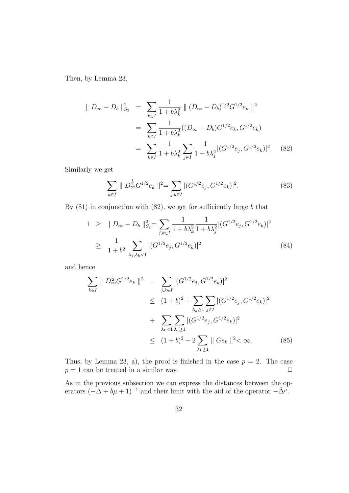Then, by Lemma 23,

$$
\| D_{\infty} - D_b \|_{S_2}^2 = \sum_{k \in I} \frac{1}{1 + b\lambda_k^2} \| (D_{\infty} - D_b)^{1/2} G^{1/2} e_k \|^2
$$
  

$$
= \sum_{k \in I} \frac{1}{1 + b\lambda_k^2} ((D_{\infty} - D_b) G^{1/2} e_k, G^{1/2} e_k)
$$
  

$$
= \sum_{k \in I} \frac{1}{1 + b\lambda_k^2} \sum_{j \in I} \frac{1}{1 + b\lambda_j^2} |(G^{1/2} e_j, G^{1/2} e_k)|^2. \quad (82)
$$

Similarly we get

$$
\sum_{k \in I} \| D_{\infty}^{\frac{1}{2}} G^{1/2} e_k \|^2 = \sum_{j,k \in I} |(G^{1/2} e_j, G^{1/2} e_k)|^2. \tag{83}
$$

By  $(81)$  in conjunction with  $(82)$ , we get for sufficiently large b that

$$
1 \geq \| D_{\infty} - D_b \|_{S_2}^2 = \sum_{j,k \in I} \frac{1}{1 + b\lambda_k^2} \frac{1}{1 + b\lambda_j^2} |(G^{1/2}e_j, G^{1/2}e_k)|^2
$$
  
\n
$$
\geq \frac{1}{1 + b^2} \sum_{\lambda_j, \lambda_k < 1} |(G^{1/2}e_j, G^{1/2}e_k)|^2 \tag{84}
$$

and hence

$$
\sum_{k \in I} \| D_{\infty}^{\frac{1}{2}} G^{1/2} e_k \|^2 = \sum_{j,k \in I} |(G^{1/2} e_j, G^{1/2} e_k)|^2
$$
  
\n
$$
\leq (1+b)^2 + \sum_{\lambda_k \geq 1} \sum_{j \in I} |(G^{1/2} e_j, G^{1/2} e_k)|^2
$$
  
\n
$$
+ \sum_{\lambda_k < 1} \sum_{\lambda_j \geq 1} |(G^{1/2} e_j, G^{1/2} e_k)|^2
$$
  
\n
$$
\leq (1+b)^2 + 2 \sum_{\lambda_k \geq 1} \| Ge_k \|^2 < \infty. \tag{85}
$$

Thus, by Lemma 23, a), the proof is finished in the case  $p = 2$ . The case  $p = 1$  can be treated in a similar way.  $\Box$ 

As in the previous subsection we can express the distances between the operators  $(-\Delta + b\mu + 1)^{-1}$  and their limit with the aid of the operator  $-\check{\Delta}^{\mu}$ .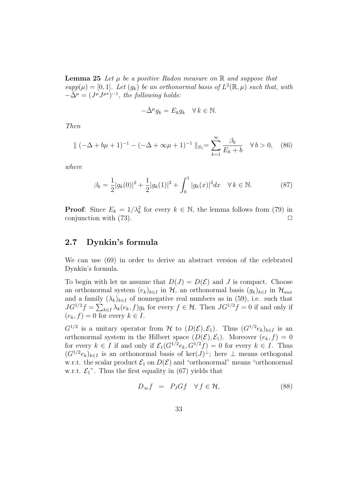**Lemma 25** Let  $\mu$  be a positive Radon measure on  $\mathbb{R}$  and suppose that  $supp(\mu) = [0,1].$  Let  $(g_k)$  be an orthonormal basis of  $L^2(\mathbb{R}, \mu)$  such that, with  $-\tilde{\Delta}^{\mu} = (J^{\mu}J^{\mu*})^{-1}$ , the following holds:

$$
-\check{\Delta}^{\mu}g_k = E_k g_k \quad \forall \, k \in \mathbb{N}.
$$

Then

$$
\|(-\Delta + b\mu + 1)^{-1} - (-\Delta + \infty\mu + 1)^{-1} \|_{S_1} = \sum_{k=1}^{\infty} \frac{\beta_k}{E_k + b} \quad \forall b > 0, \quad (86)
$$

where

$$
\beta_k = \frac{1}{2}|g_k(0)|^2 + \frac{1}{2}|g_k(1)|^2 + \int_0^1 |g_k(x)|^2 dx \quad \forall \, k \in \mathbb{N}.
$$
 (87)

**Proof:** Since  $E_k = 1/\lambda_k^2$  for every  $k \in \mathbb{N}$ , the lemma follows from (79) in conjunction with  $(73)$ .

## 2.7 Dynkin's formula

We can use (69) in order to derive an abstract version of the celebrated Dynkin's formula.

To begin with let us assume that  $D(J) = D(\mathcal{E})$  and J is compact. Choose an orthonormal system  $(e_k)_{k\in I}$  in  $H$ , an orthonormal basis  $(g_k)_{k\in I}$  in  $H_{aux}$ and a family  $(\lambda_k)_{k\in I}$  of nonnegative real numbers as in (59), i.e. such that  $JG^{1/2}f = \sum_{k \in I} \lambda_k(e_k, f)g_k$  for every  $f \in \mathcal{H}$ . Then  $JG^{1/2}f = 0$  if and only if  $(e_k, f) = 0$  for every  $k \in I$ .

 $G^{1/2}$  is a unitary operator from  $H$  to  $(D(\mathcal{E}), \mathcal{E}_1)$ . Thus  $(G^{1/2}e_k)_{k \in I}$  is an orthonormal system in the Hilbert space  $(D(\mathcal{E}), \mathcal{E}_1)$ . Moreover  $(e_k, f) = 0$ for every  $k \in I$  if and only if  $\mathcal{E}_1(G^{1/2}e_k, G^{1/2}f) = 0$  for every  $k \in I$ . Thus  $(G^{1/2}e_k)_{k\in I}$  is an orthonormal basis of ker $(J)^{\perp}$ ; here  $\perp$  means orthogonal w.r.t. the scalar product  $\mathcal{E}_1$  on  $D(\mathcal{E})$  and "orthonormal" means "orthonormal" w.r.t.  $\mathcal{E}_1$ ". Thus the first equality in (67) yields that

$$
D_{\infty}f = P_J Gf \quad \forall f \in \mathcal{H}, \tag{88}
$$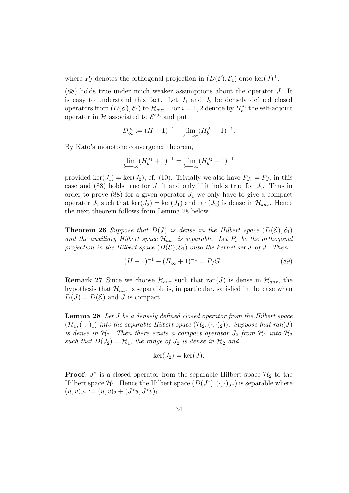where  $P_J$  denotes the orthogonal projection in  $(D(\mathcal{E}), \mathcal{E}_1)$  onto ker $(J)^{\perp}$ .

(88) holds true under much weaker assumptions about the operator J. It is easy to understand this fact. Let  $J_1$  and  $J_2$  be densely defined closed operators from  $(D(\mathcal{E}), \mathcal{E}_1)$  to  $\mathcal{H}_{aux}$ . For  $i = 1, 2$  denote by  $H_b^{J_i}$  the self-adjoint operator in H associated to  $\mathcal{E}^{bJ_i}$  and put

$$
D_{\infty}^{J_i} := (H+1)^{-1} - \lim_{b \to \infty} (H_b^{J_i} + 1)^{-1}.
$$

By Kato's monotone convergence theorem,

$$
\lim_{b \to \infty} (H_b^{J_1} + 1)^{-1} = \lim_{b \to \infty} (H_b^{J_2} + 1)^{-1}
$$

provided ker $(J_1) = \ker(J_2)$ , cf. (10). Trivially we also have  $P_{J_1} = P_{J_2}$  in this case and (88) holds true for  $J_1$  if and only if it holds true for  $J_2$ . Thus in order to prove  $(88)$  for a given operator  $J_1$  we only have to give a compact operator  $J_2$  such that  $\ker(J_2) = \ker(J_1)$  and  $\operatorname{ran}(J_2)$  is dense in  $\mathcal{H}_{aux}$ . Hence the next theorem follows from Lemma 28 below.

**Theorem 26** Suppose that  $D(J)$  is dense in the Hilbert space  $(D(\mathcal{E}), \mathcal{E}_1)$ and the auxiliary Hilbert space  $\mathcal{H}_{aux}$  is separable. Let  $P_J$  be the orthogonal projection in the Hilbert space  $(D(\mathcal{E}), \mathcal{E}_1)$  onto the kernel ker J of J. Then

$$
(H+1)^{-1} - (H_{\infty}+1)^{-1} = P_J G.
$$
\n(89)

**Remark 27** Since we choose  $\mathcal{H}_{aux}$  such that ran(J) is dense in  $\mathcal{H}_{aux}$ , the hypothesis that  $\mathcal{H}_{aux}$  is separable is, in particular, satisfied in the case when  $D(J) = D(\mathcal{E})$  and J is compact.

Lemma 28 Let J be a densely defined closed operator from the Hilbert space  $(\mathcal{H}_1, (\cdot, \cdot)_1)$  into the separable Hilbert space  $(\mathcal{H}_2, (\cdot, \cdot)_2)$ . Suppose that ran(J) is dense in  $\mathcal{H}_2$ . Then there exists a compact operator  $J_2$  from  $\mathcal{H}_1$  into  $\mathcal{H}_2$ such that  $D(J_2) = H_1$ , the range of  $J_2$  is dense in  $H_2$  and

$$
\ker(J_2) = \ker(J).
$$

**Proof**:  $J^*$  is a closed operator from the separable Hilbert space  $\mathcal{H}_2$  to the Hilbert space  $\mathcal{H}_1$ . Hence the Hilbert space  $(D(J^*), (\cdot, \cdot)_{J^*})$  is separable where  $(u, v)_{J^*} := (u, v)_2 + (J^*u, J^*v)_1.$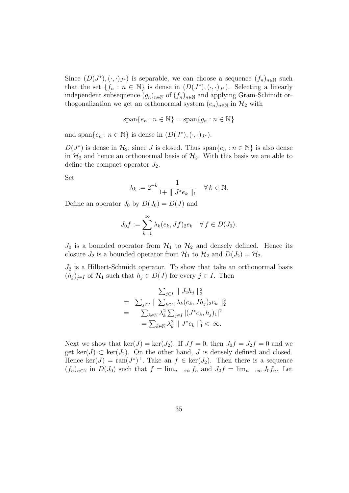Since  $(D(J^*), (\cdot, \cdot)_{J^*})$  is separable, we can choose a sequence  $(f_n)_{n\in\mathbb{N}}$  such that the set  $\{f_n : n \in \mathbb{N}\}\$ is dense in  $(D(J^*), (\cdot, \cdot)_{J^*})$ . Selecting a linearly independent subsequence  $(g_n)_{n\in\mathbb{N}}$  of  $(f_n)_{n\in\mathbb{N}}$  and applying Gram-Schmidt orthogonalization we get an orthonormal system  $(e_n)_{n\in\mathbb{N}}$  in  $\mathcal{H}_2$  with

$$
\text{span}\{e_n : n \in \mathbb{N}\} = \text{span}\{g_n : n \in \mathbb{N}\}\
$$

and span $\{e_n : n \in \mathbb{N}\}\$ is dense in  $(D(J^*), (\cdot, \cdot)_{J^*})$ .

 $D(J^*)$  is dense in  $\mathcal{H}_2$ , since J is closed. Thus span $\{e_n : n \in \mathbb{N}\}\$ is also dense in  $\mathcal{H}_2$  and hence an orthonormal basis of  $\mathcal{H}_2$ . With this basis we are able to define the compact operator  $J_2$ .

Set

$$
\lambda_k := 2^{-k} \frac{1}{1 + \| J^* e_k \|_1} \quad \forall \, k \in \mathbb{N}.
$$

Define an operator  $J_0$  by  $D(J_0) = D(J)$  and

$$
J_0f := \sum_{k=1}^{\infty} \lambda_k(e_k, Jf)_2 e_k \quad \forall f \in D(J_0).
$$

 $J_0$  is a bounded operator from  $\mathcal{H}_1$  to  $\mathcal{H}_2$  and densely defined. Hence its closure  $J_2$  is a bounded operator from  $\mathcal{H}_1$  to  $\mathcal{H}_2$  and  $D(J_2) = \mathcal{H}_2$ .

 $J_2$  is a Hilbert-Schmidt operator. To show that take an orthonormal basis  $(h_j)_{j\in I}$  of  $\mathcal{H}_1$  such that  $h_j \in D(J)$  for every  $j \in I$ . Then

$$
\sum_{j \in I} \| J_2 h_j \|_2^2
$$
\n
$$
= \sum_{j \in I} \| \sum_{k \in \mathbb{N}} \lambda_k (e_k, J h_j)_{2} e_k \|_2^2
$$
\n
$$
= \sum_{k \in \mathbb{N}} \lambda_k^2 \sum_{j \in I} |(J^* e_k, h_j)_1|^2
$$
\n
$$
= \sum_{k \in \mathbb{N}} \lambda_k^2 \| J^* e_k \|_1^2 < \infty.
$$

Next we show that  $\ker(J) = \ker(J_2)$ . If  $Jf = 0$ , then  $J_0f = J_2f = 0$  and we get ker(J)  $\subset$  ker(J<sub>2</sub>). On the other hand, J is densely defined and closed. Hence  $\ker(J) = \text{ran}(J^*)^{\perp}$ . Take an  $f \in \ker(J_2)$ . Then there is a sequence  $(f_n)_{n\in\mathbb{N}}$  in  $D(J_0)$  such that  $f = \lim_{n\to\infty} f_n$  and  $J_2f = \lim_{n\to\infty} J_0f_n$ . Let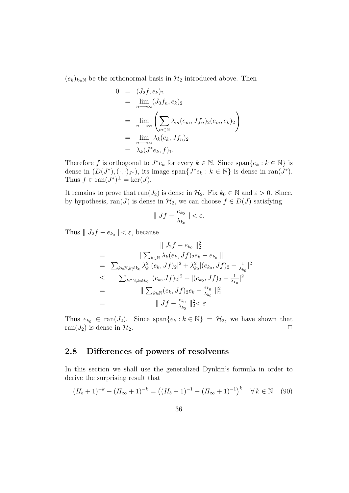$(e_k)_{k\in\mathbb{N}}$  be the orthonormal basis in  $\mathcal{H}_2$  introduced above. Then

$$
0 = (J_2f, e_k)_2
$$
  
=  $\lim_{n \to \infty} (J_0f_n, e_k)_2$   
=  $\lim_{n \to \infty} \left( \sum_{m \in \mathbb{N}} \lambda_m(e_m, Jf_n)_2(e_m, e_k)_2 \right)$   
=  $\lim_{n \to \infty} \lambda_k(e_k, Jf_n)_2$   
=  $\lambda_k(J^*e_k, f)_1$ .

Therefore f is orthogonal to  $J^*e_k$  for every  $k \in \mathbb{N}$ . Since  $\text{span}\{e_k : k \in \mathbb{N}\}\$ is dense in  $(D(J^*), (\cdot, \cdot)_{J^*})$ , its image span $\{J^*e_k : k \in \mathbb{N}\}\$ is dense in ran $(J^*)$ . Thus  $f \in \text{ran}(J^*)^{\perp} = \text{ker}(J)$ .

It remains to prove that  $ran(J_2)$  is dense in  $H_2$ . Fix  $k_0 \in \mathbb{N}$  and  $\varepsilon > 0$ . Since, by hypothesis, ran(J) is dense in  $\mathcal{H}_2$ , we can choose  $f \in D(J)$  satisfying

$$
\parallel Jf - \frac{e_{k_0}}{\lambda_{k_0}} \parallel < \varepsilon.
$$

Thus  $|| J_2f - e_{k_0} || < \varepsilon$ , because

$$
\| J_2 f - e_{k_0} \|_2^2
$$
\n
$$
= \sum_{k \in \mathbb{N}, k \neq k_0} \lambda_k^2 |(e_k, Jf)_2 e_k - e_{k_0} \|
$$
\n
$$
= \sum_{k \in \mathbb{N}, k \neq k_0} \lambda_k^2 |(e_k, Jf)_2|^2 + \lambda_{k_0}^2 |(e_{k_0}, Jf)_2 - \frac{1}{\lambda_{k_0}}|^2
$$
\n
$$
\leq \sum_{k \in \mathbb{N}, k \neq k_0} |(e_k, Jf)_2|^2 + |(e_{k_0}, Jf)_2 - \frac{1}{\lambda_{k_0}}|^2
$$
\n
$$
= \|\sum_{k \in \mathbb{N}} (e_k, Jf)_2 e_k - \frac{e_{k_0}}{\lambda_{k_0}} \|_2^2
$$
\n
$$
= \| Jf - \frac{e_{k_0}}{\lambda_{k_0}} \|_2^2 < \varepsilon.
$$

Thus  $e_{k_0} \in \overline{\text{ran}(J_2)}$ . Since  $\overline{\text{span}\{e_k : k \in \mathbb{N}\}} = \mathcal{H}_2$ , we have shown that ran( $J_2$ ) is dense in  $\mathcal{H}_2$ .

## 2.8 Differences of powers of resolvents

In this section we shall use the generalized Dynkin's formula in order to derive the surprising result that

$$
(H_b + 1)^{-k} - (H_{\infty} + 1)^{-k} = ((H_b + 1)^{-1} - (H_{\infty} + 1)^{-1})^k \quad \forall k \in \mathbb{N} \quad (90)
$$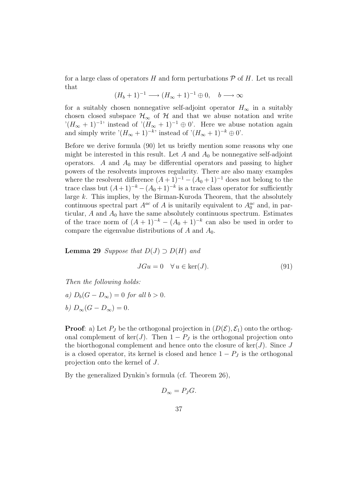for a large class of operators H and form perturbations  $\mathcal P$  of H. Let us recall that

$$
(H_b + 1)^{-1} \longrightarrow (H_{\infty} + 1)^{-1} \oplus 0, \quad b \longrightarrow \infty
$$

for a suitably chosen nonnegative self-adjoint operator  $H_{\infty}$  in a suitably chosen closed subspace  $\mathcal{H}_{\infty}$  of  $\mathcal{H}$  and that we abuse notation and write  $C(H_{\infty}+1)^{-1}$  instead of  $(H_{\infty}+1)^{-1}\oplus 0$ . Here we abuse notation again and simply write  $!(H_{\infty}+1)^{-k}$ ; instead of  $!(H_{\infty}+1)^{-k} \oplus 0$ .

Before we derive formula (90) let us briefly mention some reasons why one might be interested in this result. Let  $A$  and  $A_0$  be nonnegative self-adjoint operators. A and  $A_0$  may be differential operators and passing to higher powers of the resolvents improves regularity. There are also many examples where the resolvent difference  $(A+1)^{-1}-(A_0+1)^{-1}$  does not belong to the trace class but  $(A+1)^{-k} - (A_0+1)^{-k}$  is a trace class operator for sufficiently large k. This implies, by the Birman-Kuroda Theorem, that the absolutely continuous spectral part  $A^{ac}$  of A is unitarily equivalent to  $A_0^{ac}$  and, in particular,  $A$  and  $A_0$  have the same absolutely continuous spectrum. Estimates of the trace norm of  $(A + 1)^{-k} - (A_0 + 1)^{-k}$  can also be used in order to compare the eigenvalue distributions of  $A$  and  $A_0$ .

**Lemma 29** Suppose that  $D(J) \supset D(H)$  and

$$
JGu = 0 \quad \forall u \in \ker(J). \tag{91}
$$

Then the following holds:

a)  $D_b(G - D_{\infty}) = 0$  for all  $b > 0$ . b)  $D_{\infty}(G - D_{\infty}) = 0.$ 

**Proof:** a) Let  $P_J$  be the orthogonal projection in  $(D(\mathcal{E}), \mathcal{E}_1)$  onto the orthogonal complement of ker(J). Then  $1 - P_J$  is the orthogonal projection onto the biorthogonal complement and hence onto the closure of  $\ker(J)$ . Since J is a closed operator, its kernel is closed and hence  $1 - P_J$  is the orthogonal projection onto the kernel of J.

By the generalized Dynkin's formula (cf. Theorem 26),

$$
D_{\infty}=P_JG.
$$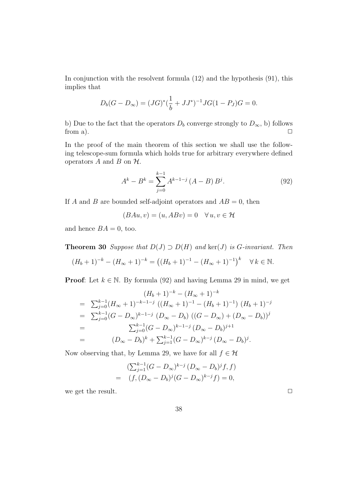In conjunction with the resolvent formula (12) and the hypothesis (91), this implies that

$$
D_b(G - D_{\infty}) = (JG)^{*}(\frac{1}{b} + JJ^{*})^{-1}JG(1 - P_J)G = 0.
$$

b) Due to the fact that the operators  $D_b$  converge strongly to  $D_{\infty}$ , b) follows from a). from a).  $\Box$ 

In the proof of the main theorem of this section we shall use the following telescope-sum formula which holds true for arbitrary everywhere defined operators  $A$  and  $B$  on  $H$ .

$$
A^{k} - B^{k} = \sum_{j=0}^{k-1} A^{k-1-j} (A - B) B^{j}.
$$
 (92)

If A and B are bounded self-adjoint operators and  $AB = 0$ , then

$$
(BAu, v) = (u, ABv) = 0 \quad \forall u, v \in \mathcal{H}
$$

and hence  $BA = 0$ , too.

**Theorem 30** Suppose that  $D(J) \supset D(H)$  and  $\text{ker}(J)$  is G-invariant. Then

$$
(H_b+1)^{-k} - (H_{\infty}+1)^{-k} = ((H_b+1)^{-1} - (H_{\infty}+1)^{-1})^k \quad \forall k \in \mathbb{N}.
$$

**Proof:** Let  $k \in \mathbb{N}$ . By formula (92) and having Lemma 29 in mind, we get

$$
(H_b + 1)^{-k} - (H_{\infty} + 1)^{-k}
$$
  
=  $\sum_{j=0}^{k-1} (H_{\infty} + 1)^{-k-1-j} ((H_{\infty} + 1)^{-1} - (H_b + 1)^{-1}) (H_b + 1)^{-j}$   
=  $\sum_{j=0}^{k-1} (G - D_{\infty})^{k-1-j} (D_{\infty} - D_b) ((G - D_{\infty}) + (D_{\infty} - D_b))^j$   
=  $\sum_{j=0}^{k-1} (G - D_{\infty})^{k-1-j} (D_{\infty} - D_b)^{j+1}$   
=  $(D_{\infty} - D_b)^k + \sum_{j=1}^{k-1} (G - D_{\infty})^{k-j} (D_{\infty} - D_b)^j.$ 

Now observing that, by Lemma 29, we have for all  $f \in \mathcal{H}$ 

$$
\left(\sum_{j=1}^{k-1} (G - D_{\infty})^{k-j} (D_{\infty} - D_b)^j f, f\right)
$$
  
=  $(f, (D_{\infty} - D_b)^j (G - D_{\infty})^{k-j} f) = 0,$ 

we get the result.  $\Box$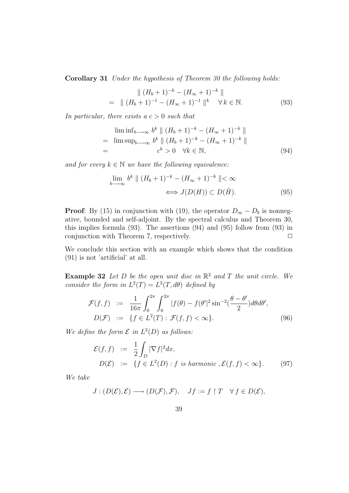Corollary 31 Under the hypothesis of Theorem 30 the following holds:

$$
\| (H_b + 1)^{-k} - (H_{\infty} + 1)^{-k} \|
$$
  
= 
$$
\| (H_b + 1)^{-1} - (H_{\infty} + 1)^{-1} \|^{k} \quad \forall k \in \mathbb{N}.
$$
 (93)

In particular, there exists a  $c > 0$  such that

$$
\liminf_{b \to \infty} b^k \parallel (H_b + 1)^{-k} - (H_{\infty} + 1)^{-k} \parallel
$$
\n
$$
= \limsup_{b \to \infty} b^k \parallel (H_b + 1)^{-k} - (H_{\infty} + 1)^{-k} \parallel
$$
\n
$$
= c^k > 0 \quad \forall k \in \mathbb{N}, \tag{94}
$$

and for every  $k \in \mathbb{N}$  we have the following equivalence:

$$
\lim_{b \to \infty} b^k \parallel (H_b + 1)^{-k} - (H_\infty + 1)^{-k} \parallel < \infty
$$
  

$$
\iff J(D(H)) \subset D(\check{H}). \tag{95}
$$

**Proof:** By (15) in conjunction with (19), the operator  $D_{\infty} - D_b$  is nonnegative, bounded and self-adjoint. By the spectral calculus and Theorem 30, this implies formula (93). The assertions (94) and (95) follow from (93) in conjunction with Theorem 7, respectively.  $\Box$ 

We conclude this section with an example which shows that the condition (91) is not 'artificial' at all.

**Example 32** Let D be the open unit disc in  $\mathbb{R}^2$  and T the unit circle. We consider the form in  $L^2(T) = L^2(T, d\theta)$  defined by

$$
\mathcal{F}(f,f) := \frac{1}{16\pi} \int_0^{2\pi} \int_0^{2\pi} |f(\theta) - f(\theta'|^2 \sin^{-2}(\frac{\theta - \theta'}{2}) d\theta d\theta',
$$
  

$$
D(\mathcal{F}) := \{ f \in L^2(T) : \mathcal{F}(f,f) < \infty \}.
$$
 (96)

We define the form  $\mathcal E$  in  $L^2(D)$  as follows:

$$
\mathcal{E}(f,f) := \frac{1}{2} \int_D |\nabla f|^2 dx,
$$
  
\n
$$
D(\mathcal{E}) := \{ f \in L^2(D) : f \text{ is harmonic}, \mathcal{E}(f,f) < \infty \}. \tag{97}
$$

We take

$$
J: (D(\mathcal{E}), \mathcal{E}) \longrightarrow (D(\mathcal{F}), \mathcal{F}), \quad Jf := f \upharpoonright T \quad \forall f \in D(\mathcal{E}),
$$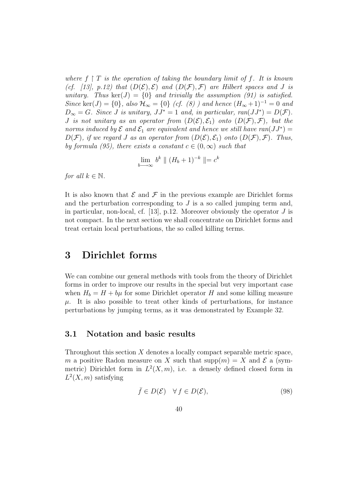where  $f \restriction T$  is the operation of taking the boundary limit of f. It is known (cf. [13], p.12) that  $(D(\mathcal{E}), \mathcal{E})$  and  $(D(\mathcal{F}), \mathcal{F})$  are Hilbert spaces and J is unitary. Thus  $\ker(J) = \{0\}$  and trivially the assumption (91) is satisfied. Since ker(J) = {0}, also  $\mathcal{H}_{\infty}$  = {0} (cf. (8)) and hence  $(H_{\infty}+1)^{-1}=0$  and  $D_{\infty} = G$ . Since J is unitary,  $JJ^* = 1$  and, in particular,  $ran(JJ^*) = D(\mathcal{F})$ . J is not unitary as an operator from  $(D(\mathcal{E}), \mathcal{E}_1)$  onto  $(D(\mathcal{F}), \mathcal{F})$ , but the norms induced by  $\mathcal E$  and  $\mathcal E_1$  are equivalent and hence we still have ran $(JJ^*)=$  $D(F)$ , if we regard J as an operator from  $(D(\mathcal{E}), \mathcal{E}_1)$  onto  $(D(\mathcal{F}), \mathcal{F})$ . Thus, by formula (95), there exists a constant  $c \in (0,\infty)$  such that

$$
\lim_{b \to \infty} b^k \parallel (H_b + 1)^{-k} \parallel = c^k
$$

for all  $k \in \mathbb{N}$ .

It is also known that  $\mathcal E$  and  $\mathcal F$  in the previous example are Dirichlet forms and the perturbation corresponding to  $J$  is a so called jumping term and, in particular, non-local, cf. [13], p.12. Moreover obviously the operator  $J$  is not compact. In the next section we shall concentrate on Dirichlet forms and treat certain local perturbations, the so called killing terms.

## 3 Dirichlet forms

We can combine our general methods with tools from the theory of Dirichlet forms in order to improve our results in the special but very important case when  $H_b = H + b\mu$  for some Dirichlet operator H and some killing measure  $\mu$ . It is also possible to treat other kinds of perturbations, for instance perturbations by jumping terms, as it was demonstrated by Example 32.

## 3.1 Notation and basic results

Throughout this section  $X$  denotes a locally compact separable metric space, m a positive Radon measure on X such that  $\text{supp}(m) = X$  and  $\mathcal E$  a (symmetric) Dirichlet form in  $L^2(X, m)$ , i.e. a densely defined closed form in  $L^2(X, m)$  satisfying

$$
\bar{f} \in D(\mathcal{E}) \quad \forall \, f \in D(\mathcal{E}), \tag{98}
$$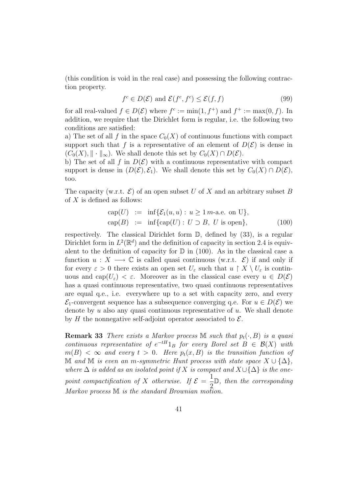(this condition is void in the real case) and possessing the following contraction property.

$$
f^c \in D(\mathcal{E}) \text{ and } \mathcal{E}(f^c, f^c) \le \mathcal{E}(f, f) \tag{99}
$$

for all real-valued  $f \in D(\mathcal{E})$  where  $f^c := \min(1, f^+)$  and  $f^+ := \max(0, f)$ . In addition, we require that the Dirichlet form is regular, i.e. the following two conditions are satisfied:

a) The set of all f in the space  $C_0(X)$  of continuous functions with compact support such that f is a representative of an element of  $D(\mathcal{E})$  is dense in  $(C_0(X), \|\cdot\|_{\infty})$ . We shall denote this set by  $C_0(X) \cap D(\mathcal{E})$ .

b) The set of all f in  $D(\mathcal{E})$  with a continuous representative with compact support is dense in  $(D(\mathcal{E}), \mathcal{E}_1)$ . We shall denote this set by  $C_0(X) \cap D(\mathcal{E}),$ too.

The capacity (w.r.t.  $\mathcal{E}$ ) of an open subset U of X and an arbitrary subset B of  $X$  is defined as follows:

$$
cap(U) := inf{E1(u, u) : u \ge 1 m-a.e. on U},
$$
  
\n
$$
cap(B) := inf{cap(U) : U \supset B, U \text{ is open}},
$$
\n(100)

respectively. The classical Dirichlet form D, defined by (33), is a regular Dirichlet form in  $L^2(\mathbb{R}^d)$  and the definition of capacity in section 2.4 is equivalent to the definition of capacity for  $\mathbb D$  in (100). As in the classical case a function  $u: X \longrightarrow \mathbb{C}$  is called quasi continuous (w.r.t.  $\mathcal{E}$ ) if and only if for every  $\varepsilon > 0$  there exists an open set  $U_{\varepsilon}$  such that  $u \restriction X \setminus U_{\varepsilon}$  is continuous and cap $(U_{\varepsilon}) < \varepsilon$ . Moreover as in the classical case every  $u \in D(\mathcal{E})$ has a quasi continuous representative, two quasi continuous representatives are equal q.e., i.e. everywhere up to a set with capacity zero, and every  $\mathcal{E}_1$ -convergent sequence has a subsequence converging q.e. For  $u \in D(\mathcal{E})$  we denote by  $u$  also any quasi continuous representative of  $u$ . We shall denote by H the nonnegative self-adjoint operator associated to  $\mathcal{E}$ .

**Remark 33** There exists a Markov process M such that  $p_t(\cdot, B)$  is a quasi continuous representative of  $e^{-tH}1_B$  for every Borel set  $B \in \mathcal{B}(X)$  with  $m(B) < \infty$  and every  $t > 0$ . Here  $p_t(x, B)$  is the transition function of M and M is even an m-symmetric Hunt process with state space  $X \cup {\Delta}$ , where  $\Delta$  is added as an isolated point if X is compact and  $X \cup {\Delta}$  is the onepoint compactification of X otherwise. If  $\mathcal{E} =$ 1  $\frac{1}{2}$ . then the corresponding Markov process  $M$  is the standard Brownian motion.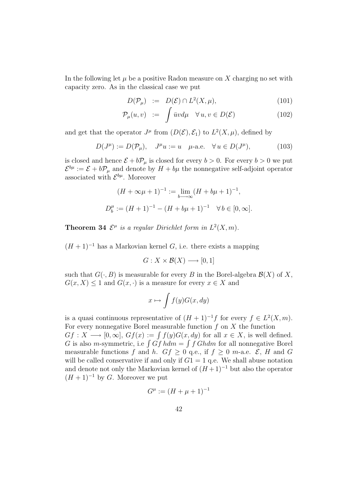In the following let  $\mu$  be a positive Radon measure on X charging no set with capacity zero. As in the classical case we put

$$
D(\mathcal{P}_{\mu}) \quad := \quad D(\mathcal{E}) \cap L^{2}(X, \mu), \tag{101}
$$

$$
\mathcal{P}_{\mu}(u,v) := \int \bar{u}v d\mu \quad \forall u, v \in D(\mathcal{E}) \tag{102}
$$

and get that the operator  $J^{\mu}$  from  $(D(\mathcal{E}), \mathcal{E}_1)$  to  $L^2(X, \mu)$ , defined by

$$
D(J^{\mu}) := D(\mathcal{P}_{\mu}), \quad J^{\mu}u := u \quad \mu\text{-a.e.} \quad \forall u \in D(J^{\mu}), \tag{103}
$$

is closed and hence  $\mathcal{E} + b\mathcal{P}_{\mu}$  is closed for every  $b > 0$ . For every  $b > 0$  we put  $\mathcal{E}^{b\mu} := \mathcal{E} + b\mathcal{P}_{\mu}$  and denote by  $H + b\mu$  the nonnegative self-adjoint operator associated with  $\mathcal{E}^{b\mu}$ . Moreover

$$
(H + \infty \mu + 1)^{-1} := \lim_{b \to \infty} (H + b\mu + 1)^{-1},
$$
  

$$
D_b^{\mu} := (H + 1)^{-1} - (H + b\mu + 1)^{-1} \quad \forall b \in [0, \infty].
$$

**Theorem 34**  $\mathcal{E}^{\mu}$  is a regular Dirichlet form in  $L^2(X, m)$ .

 $(H + 1)^{-1}$  has a Markovian kernel G, i.e. there exists a mapping

$$
G: X \times \mathcal{B}(X) \longrightarrow [0,1]
$$

such that  $G(\cdot, B)$  is measurable for every B in the Borel-algebra  $\mathcal{B}(X)$  of X,  $G(x, X) \leq 1$  and  $G(x, \cdot)$  is a measure for every  $x \in X$  and

$$
x \mapsto \int f(y)G(x, dy)
$$

is a quasi continuous representative of  $(H + 1)^{-1}f$  for every  $f \in L^2(X, m)$ . For every nonnegative Borel measurable function  $f$  on  $X$  the function

 $Gf: X \longrightarrow [0, \infty], Gf(x) := \int f(y)G(x, dy)$  for all  $x \in X$ , is well defined. G is also m-symmetric, i.e  $\int Gf h dm = \int f G h dm$  for all nonnegative Borel measurable functions f and h.  $Gf \geq 0$  q.e., if  $f \geq 0$  m-a.e.  $\mathcal{E}, H$  and G will be called conservative if and only if  $G1 = 1$  q.e. We shall abuse notation and denote not only the Markovian kernel of  $(H+1)^{-1}$  but also the operator  $(H + 1)^{-1}$  by G. Moreover we put

$$
G^{\mu} := (H + \mu + 1)^{-1}
$$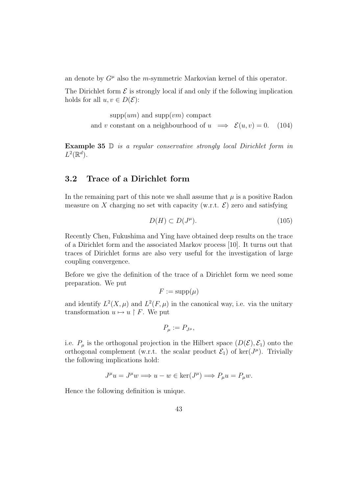an denote by  $G^{\mu}$  also the *m*-symmetric Markovian kernel of this operator.

The Dirichlet form  $\mathcal E$  is strongly local if and only if the following implication holds for all  $u, v \in D(\mathcal{E})$ :

> $supp(um)$  and  $supp(vm)$  compact and v constant on a neighbourhood of  $u \implies \mathcal{E}(u, v) = 0$ . (104)

Example 35 D is a regular conservative strongly local Dirichlet form in  $L^2(\mathbb{R}^d)$ .

## 3.2 Trace of a Dirichlet form

In the remaining part of this note we shall assume that  $\mu$  is a positive Radon measure on X charging no set with capacity (w.r.t.  $\mathcal{E}$ ) zero and satisfying

$$
D(H) \subset D(J^{\mu}).\tag{105}
$$

Recently Chen, Fukushima and Ying have obtained deep results on the trace of a Dirichlet form and the associated Markov process [10]. It turns out that traces of Dirichlet forms are also very useful for the investigation of large coupling convergence.

Before we give the definition of the trace of a Dirichlet form we need some preparation. We put

$$
F := \text{supp}(\mu)
$$

and identify  $L^2(X,\mu)$  and  $L^2(F,\mu)$  in the canonical way, i.e. via the unitary transformation  $u \mapsto u \upharpoonright F$ . We put

$$
P_{\mu} := P_{J^{\mu}},
$$

i.e.  $P_{\mu}$  is the orthogonal projection in the Hilbert space  $(D(\mathcal{E}), \mathcal{E}_1)$  onto the orthogonal complement (w.r.t. the scalar product  $\mathcal{E}_1$ ) of ker( $J^{\mu}$ ). Trivially the following implications hold:

$$
J^{\mu}u = J^{\mu}w \Longrightarrow u - w \in \ker(J^{\mu}) \Longrightarrow P_{\mu}u = P_{\mu}w.
$$

Hence the following definition is unique.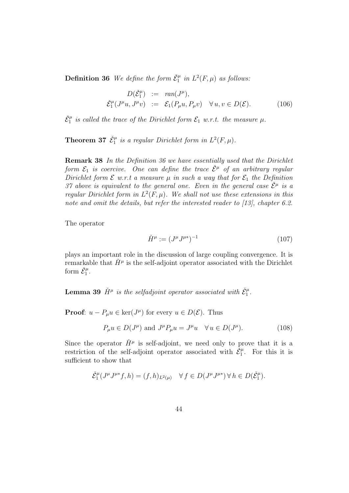**Definition 36** We define the form  $\check{\mathcal{E}}_1^{\mu}$  in  $L^2(F,\mu)$  as follows:

$$
D(\check{\mathcal{E}}_1^{\mu}) := \operatorname{ran}(J^{\mu}),
$$
  

$$
\check{\mathcal{E}}_1^{\mu}(J^{\mu}u, J^{\mu}v) := \mathcal{E}_1(P_{\mu}u, P_{\mu}v) \quad \forall u, v \in D(\mathcal{E}).
$$
 (106)

 $\check{\mathcal{E}}^{\mu}_1$  is called the trace of the Dirichlet form  $\mathcal{E}_1$  w.r.t. the measure  $\mu$ .

**Theorem 37**  $\check{\mathcal{E}}_1^{\mu}$  is a regular Dirichlet form in  $L^2(F,\mu)$ .

Remark 38 In the Definition 36 we have essentially used that the Dirichlet form  $\mathcal{E}_1$  is coercive. One can define the trace  $\check{\mathcal{E}}^{\mu}$  of an arbitrary regular Dirichlet form  $\mathcal E$  w.r.t a measure  $\mu$  in such a way that for  $\mathcal E_1$  the Definition 37 above is equivalent to the general one. Even in the general case  $\check{\mathcal{E}}^{\mu}$  is a regular Dirichlet form in  $L^2(F,\mu)$ . We shall not use these extensions in this note and omit the details, but refer the interested reader to [13], chapter 6.2.

The operator

$$
\check{H}^{\mu} := (J^{\mu}J^{\mu*})^{-1} \tag{107}
$$

plays an important role in the discussion of large coupling convergence. It is remarkable that  $\check{H}^{\mu}$  is the self-adjoint operator associated with the Dirichlet form  $\check{\mathcal{E}}_1^{\mu}$ .

**Lemma 39**  $\check{H}^{\mu}$  is the selfadjoint operator associated with  $\check{\mathcal{E}}^{\mu}_1$ .

**Proof**:  $u - P_{\mu}u \in \text{ker}(J^{\mu})$  for every  $u \in D(\mathcal{E})$ . Thus

$$
P_{\mu}u \in D(J^{\mu}) \text{ and } J^{\mu}P_{\mu}u = J^{\mu}u \quad \forall u \in D(J^{\mu}). \tag{108}
$$

Since the operator  $\check{H}^{\mu}$  is self-adjoint, we need only to prove that it is a restriction of the self-adjoint operator associated with  $\tilde{\xi}_1^{\mu}$ . For this it is sufficient to show that

$$
\check{{\mathcal{E}}}^\mu_1(J^\mu J^{\mu*}f, h) = (f, h)_{L^2(\mu)} \quad \forall \, f \in D(J^\mu J^{\mu*}) \, \forall \, h \in D(\check{{\mathcal{E}}}^\mu_1).
$$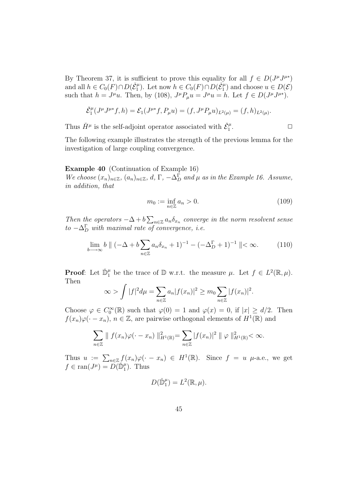By Theorem 37, it is sufficient to prove this equality for all  $f \in D(J^{\mu}J^{\mu*})$ and all  $h \in C_0(F) \cap D(\check{\mathcal{E}}_1^{\mu})$ . Let now  $h \in C_0(F) \cap D(\check{\mathcal{E}}_1^{\mu})$  and choose  $u \in D(\mathcal{E})$ such that  $h = J^{\mu}u$ . Then, by (108),  $J^{\mu}P_{\mu}u = J^{\mu}u = h$ . Let  $f \in D(J^{\mu}J^{\mu*})$ .

$$
\check{\mathcal{E}}_1^{\mu}(J^{\mu}J^{\mu*}f,h)=\mathcal{E}_1(J^{\mu*}f,P_{\mu}u)=(f,J^{\mu}P_{\mu}u)_{L^2(\mu)}=(f,h)_{L^2(\mu)}.
$$

Thus  $\check{H}^{\mu}$  is the self-adjoint operator associated with  $\check{\mathcal{E}}^{\mu}_1$ .  $\Box$ 

The following example illustrates the strength of the previous lemma for the investigation of large coupling convergence.

#### Example 40 (Continuation of Example 16)

We choose  $(x_n)_{n\in\mathbb{Z}}$ ,  $(a_n)_{n\in\mathbb{Z}}$ ,  $d, \Gamma, -\Delta_D^{\Gamma}$  and  $\mu$  as in the Example 16. Assume, in addition, that

$$
m_0 := \inf_{n \in \mathbb{Z}} a_n > 0. \tag{109}
$$

Then the operators  $-\Delta + b \sum_{n \in \mathbb{Z}} a_n \delta_{x_n}$  converge in the norm resolvent sense  $to -\Delta_D^{\Gamma}$  with maximal rate of convergence, i.e.

$$
\lim_{b \to \infty} b \parallel (-\Delta + b \sum_{n \in \mathbb{Z}} a_n \delta_{x_n} + 1)^{-1} - (-\Delta_D^{\Gamma} + 1)^{-1} \parallel < \infty.
$$
 (110)

**Proof**: Let  $\check{\mathbb{D}}_1^{\mu}$  be the trace of  $\mathbb{D}$  w.r.t. the measure  $\mu$ . Let  $f \in L^2(\mathbb{R}, \mu)$ . Then

$$
\infty > \int |f|^2 d\mu = \sum_{n \in \mathbb{Z}} a_n |f(x_n)|^2 \geq m_0 \sum_{n \in \mathbb{Z}} |f(x_n)|^2.
$$

Choose  $\varphi \in C_0^{\infty}(\mathbb{R})$  such that  $\varphi(0) = 1$  and  $\varphi(x) = 0$ , if  $|x| \ge d/2$ . Then  $f(x_n)\varphi(\cdot-x_n), n \in \mathbb{Z}$ , are pairwise orthogonal elements of  $H^1(\mathbb{R})$  and

$$
\sum_{n\in\mathbb{Z}}\parallel f(x_n)\varphi(\cdot-x_n)\parallel_{H^1(\mathbb{R})}^2=\sum_{n\in\mathbb{Z}}|f(x_n)|^2\parallel\varphi\parallel_{H^1(\mathbb{R})}^2<\infty.
$$

Thus  $u := \sum_{n \in \mathbb{Z}} f(x_n) \varphi(\cdot - x_n) \in H^1(\mathbb{R})$ . Since  $f = u$   $\mu$ -a.e., we get  $f \in \text{ran}(J^{\mu}) = \widetilde{D(\mathbb{D}^{\mu}_1)}$ . Thus

$$
D(\check{\mathbb{D}}_1^{\mu})=L^2(\mathbb{R},\mu).
$$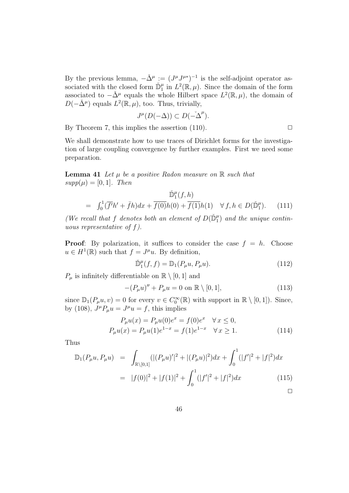By the previous lemma,  $-\check{\Delta}^{\mu} := (J^{\mu}J^{\mu*})^{-1}$  is the self-adjoint operator associated with the closed form  $\mathbb{D}_{1}^{\mu}$  in  $L^{2}(\mathbb{R}, \mu)$ . Since the domain of the form associated to  $-\check{\Delta}^{\mu}$  equals the whole Hilbert space  $L^{2}(\mathbb{R}, \mu)$ , the domain of  $D(-\check{\Delta}^{\mu})$  equals  $L^2(\mathbb{R}, \mu)$ , too. Thus, trivially,

$$
J^{\mu}(D(-\Delta)) \subset D(-\Delta^{\mu}).
$$

By Theorem 7, this implies the assertion  $(110)$ .

We shall demonstrate how to use traces of Dirichlet forms for the investigation of large coupling convergence by further examples. First we need some preparation.

**Lemma 41** Let  $\mu$  be a positive Radon measure on  $\mathbb{R}$  such that  $supp(\mu) = [0, 1]$ . Then

$$
\tilde{\mathbb{D}}_1^{\mu}(f,h) = \int_0^1 (\overline{f'}h' + \overline{f}h)dx + \overline{f(0)}h(0) + \overline{f(1)}h(1) \quad \forall f, h \in D(\tilde{\mathbb{D}}_1^{\mu}). \tag{111}
$$

(We recall that f denotes both an element of  $D(\check{D}_1^{\mu})$  and the unique continuous representative of  $f$ ).

**Proof:** By polarization, it suffices to consider the case  $f = h$ . Choose  $u \in H^1(\mathbb{R})$  such that  $f = J^{\mu}u$ . By definition,

$$
\tilde{\mathbb{D}}_1^{\mu}(f,f) = \mathbb{D}_1(P_{\mu}u, P_{\mu}u). \tag{112}
$$

 $P_{\mu}$  is infinitely differentiable on  $\mathbb{R} \setminus [0,1]$  and

$$
-(P_{\mu}u)^{\prime\prime} + P_{\mu}u = 0 \text{ on } \mathbb{R} \setminus [0,1],
$$
 (113)

since  $\mathbb{D}_1(P_\mu u, v) = 0$  for every  $v \in C_0^{\infty}(\mathbb{R})$  with support in  $\mathbb{R} \setminus [0, 1]$ . Since, by (108),  $J^{\mu}P_{\mu}u = J^{\mu}u = f$ , this implies

$$
P_{\mu}u(x) = P_{\mu}u(0)e^{x} = f(0)e^{x} \quad \forall x \le 0,
$$
  
\n
$$
P_{\mu}u(x) = P_{\mu}u(1)e^{1-x} = f(1)e^{1-x} \quad \forall x \ge 1.
$$
\n(114)

Thus

$$
\mathbb{D}_1(P_\mu u, P_\mu u) = \int_{\mathbb{R}\setminus[0,1]} (|(P_\mu u)'|^2 + |(P_\mu u)|^2) dx + \int_0^1 (|f'|^2 + |f|^2) dx
$$
  

$$
= |f(0)|^2 + |f(1)|^2 + \int_0^1 (|f'|^2 + |f|^2) dx \tag{115}
$$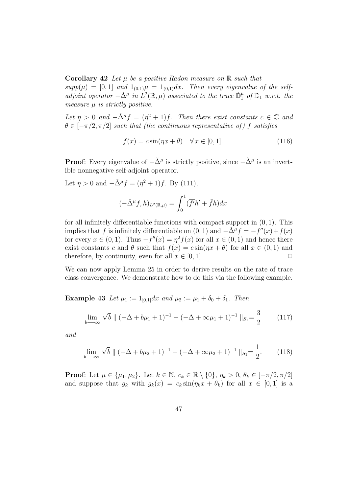**Corollary 42** Let  $\mu$  be a positive Radon measure on  $\mathbb{R}$  such that  $supp(\mu) = [0,1]$  and  $1_{(0,1)}\mu = 1_{(0,1)}dx$ . Then every eigenvalue of the selfadjoint operator  $-\check{\Delta}^{\mu}$  in  $L^2(\mathbb{R},\mu)$  associated to the trace  $\check{\mathbb{D}}_1^{\mu}$  of  $\mathbb{D}_1$  w.r.t. the measure  $\mu$  is strictly positive.

Let  $\eta > 0$  and  $-\check{\Delta}^{\mu} f = (\eta^2 + 1)f$ . Then there exist constants  $c \in \mathbb{C}$  and  $\theta \in [-\pi/2, \pi/2]$  such that (the continuous representative of) f satisfies

$$
f(x) = c\sin(\eta x + \theta) \quad \forall x \in [0, 1].
$$
\n(116)

**Proof**: Every eigenvalue of  $-\check{\Delta}^{\mu}$  is strictly positive, since  $-\check{\Delta}^{\mu}$  is an invertible nonnegative self-adjoint operator.

Let  $\eta > 0$  and  $-\check{\Delta}^{\mu} f = (\eta^2 + 1)f$ . By (111),

$$
(-\check{\Delta}^{\mu}f,h)_{L^{2}(\mathbb{R},\mu)} = \int_{0}^{1} (\overline{f'}h' + \overline{f}h)dx
$$

for all infinitely differentiable functions with compact support in  $(0, 1)$ . This implies that f is infinitely differentiable on  $(0, 1)$  and  $-\tilde{\Delta}^{\mu} f = -f''(x) + f(x)$ for every  $x \in (0,1)$ . Thus  $-f''(x) = \eta^2 f(x)$  for all  $x \in (0,1)$  and hence there exist constants c and  $\theta$  such that  $f(x) = c \sin(\eta x + \theta)$  for all  $x \in (0,1)$  and therefore, by continuity, even for all  $x \in [0, 1]$ .

We can now apply Lemma 25 in order to derive results on the rate of trace class convergence. We demonstrate how to do this via the following example.

Example 43 Let  $\mu_1 := 1_{[0,1]}dx$  and  $\mu_2 := \mu_1 + \delta_0 + \delta_1$ . Then

$$
\lim_{b \to \infty} \sqrt{b} \, \| \, (-\Delta + b\mu_1 + 1)^{-1} - (-\Delta + \infty\mu_1 + 1)^{-1} \, \|_{S_1} = \frac{3}{2} \tag{117}
$$

and

$$
\lim_{b \to \infty} \sqrt{b} \parallel (-\Delta + b\mu_2 + 1)^{-1} - (-\Delta + \infty \mu_2 + 1)^{-1} \parallel_{S_1} = \frac{1}{2}.
$$
 (118)

**Proof:** Let  $\mu \in {\mu_1, \mu_2}$ . Let  $k \in \mathbb{N}$ ,  $c_k \in \mathbb{R} \setminus {\{0\}}$ ,  $\eta_k > 0$ ,  $\theta_k \in [-\pi/2, \pi/2]$ and suppose that  $g_k$  with  $g_k(x) = c_k \sin(\eta_k x + \theta_k)$  for all  $x \in [0,1]$  is a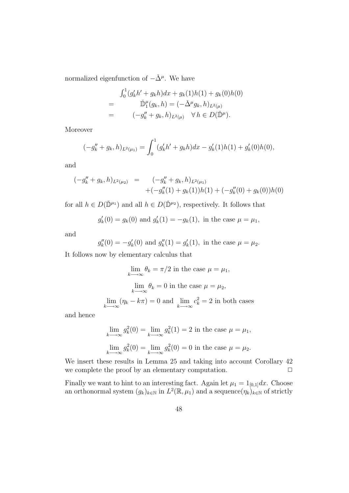normalized eigenfunction of  $-\check{\Delta}^{\mu}$ . We have

$$
\int_0^1 (g'_k h' + g_k h) dx + g_k(1)h(1) + g_k(0)h(0)
$$
  
= 
$$
\tilde{\mathbb{D}}_1^{\mu}(g_k, h) = (-\tilde{\Delta}^{\mu} g_k, h)_{L^2(\mu)}
$$
  
= 
$$
(-g''_k + g_k, h)_{L^2(\mu)} \quad \forall h \in D(\tilde{\mathbb{D}}^{\mu}).
$$

Moreover

$$
(-g_k'' + g_k, h)_{L^2(\mu_1)} = \int_0^1 (g_k'h' + g_kh)dx - g_k'(1)h(1) + g_k'(0)h(0),
$$

and

$$
(-g_k'' + g_k, h)_{L^2(\mu_2)} = (-g_k'' + g_k, h)_{L^2(\mu_1)} + (-g_k''(1) + g_k(1))h(1) + (-g_k''(0) + g_k(0))h(0)
$$

for all  $h \in D(\mathbb{D}^{\mu_1})$  and all  $h \in D(\mathbb{D}^{\mu_2})$ , respectively. It follows that

$$
g'_k(0) = g_k(0)
$$
 and  $g'_k(1) = -g_k(1)$ , in the case  $\mu = \mu_1$ ,

and

$$
g_k''(0) = -g_k'(0)
$$
 and  $g_k''(1) = g_k'(1)$ , in the case  $\mu = \mu_2$ .

It follows now by elementary calculus that

$$
\lim_{k \to \infty} \theta_k = \pi/2 \text{ in the case } \mu = \mu_1,
$$
  

$$
\lim_{k \to \infty} \theta_k = 0 \text{ in the case } \mu = \mu_2,
$$
  

$$
\lim_{k \to \infty} (\eta_k - k\pi) = 0 \text{ and } \lim_{k \to \infty} c_k^2 = 2 \text{ in both cases}
$$

and hence

$$
\lim_{k \to \infty} g_k^2(0) = \lim_{k \to \infty} g_k^2(1) = 2
$$
 in the case  $\mu = \mu_1$ ,  

$$
\lim_{k \to \infty} g_k^2(0) = \lim_{k \to \infty} g_k^2(0) = 0
$$
 in the case  $\mu = \mu_2$ .

We insert these results in Lemma 25 and taking into account Corollary 42 we complete the proof by an elementary computation.  $\Box$ 

Finally we want to hint to an interesting fact. Again let  $\mu_1 = 1_{[0,1]}dx$ . Choose an orthonormal system  $(g_k)_{k \in \mathbb{N}}$  in  $L^2(\mathbb{R}, \mu_1)$  and a sequence  $(\eta_k)_{k \in \mathbb{N}}$  of strictly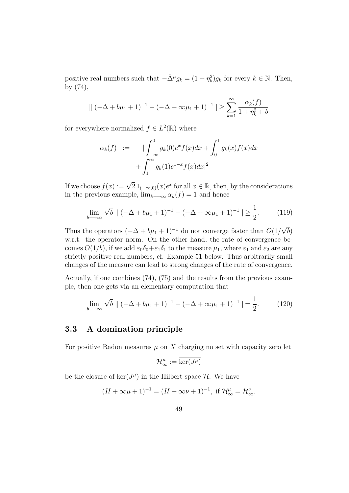positive real numbers such that  $-\check{\Delta}^{\mu}g_k = (1 + \eta_k^2)g_k$  for every  $k \in \mathbb{N}$ . Then, by (74),

$$
\|(-\Delta + b\mu_1 + 1)^{-1} - (-\Delta + \infty\mu_1 + 1)^{-1}\| \ge \sum_{k=1}^{\infty} \frac{\alpha_k(f)}{1 + \eta_k^2 + b}
$$

for everywhere normalized  $f \in L^2(\mathbb{R})$  where

$$
\alpha_k(f) := \int_{-\infty}^0 g_k(0)e^x f(x) dx + \int_0^1 g_k(x)f(x) dx
$$

$$
+ \int_1^\infty g_k(1)e^{1-x} f(x) dx|^2
$$

If we choose  $f(x) := \sqrt{2} 1_{(-\infty,0)}(x) e^x$  for all  $x \in \mathbb{R}$ , then, by the considerations in the previous example,  $\lim_{k\to\infty} \alpha_k(f) = 1$  and hence

$$
\lim_{b \to \infty} \sqrt{b} \, \| \, (-\Delta + b\mu_1 + 1)^{-1} - (-\Delta + \infty \mu_1 + 1)^{-1} \, \| \ge \frac{1}{2}.
$$
 (119)

Thus the operators  $(-\Delta + b\mu_1 + 1)^{-1}$  do not converge faster than  $O(1)$ √ b) w.r.t. the operator norm. On the other hand, the rate of convergence becomes  $O(1/b)$ , if we add  $\varepsilon_0\delta_0+\varepsilon_1\delta_1$  to the measure  $\mu_1$ , where  $\varepsilon_1$  and  $\varepsilon_2$  are any strictly positive real numbers, cf. Example 51 below. Thus arbitrarily small changes of the measure can lead to strong changes of the rate of convergence.

Actually, if one combines (74), (75) and the results from the previous example, then one gets via an elementary computation that

$$
\lim_{b \to \infty} \sqrt{b} \, \| \, (-\Delta + b\mu_1 + 1)^{-1} - (-\Delta + \infty\mu_1 + 1)^{-1} \, \| = \frac{1}{2}.
$$
 (120)

#### 3.3 A domination principle

For positive Radon measures  $\mu$  on X charging no set with capacity zero let

$$
\mathcal{H}_\infty^\mu:=\overline{\ker(J^\mu)}
$$

be the closure of  $\ker(J^{\mu})$  in the Hilbert space  $\mathcal{H}$ . We have

$$
(H + \infty \mu + 1)^{-1} = (H + \infty \nu + 1)^{-1}, \text{ if } \mathcal{H}_{\infty}^{\mu} = \mathcal{H}_{\infty}^{\nu}.
$$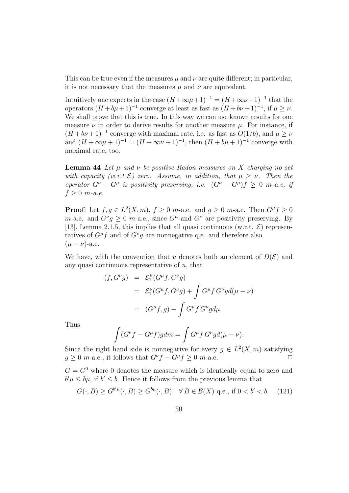This can be true even if the measures  $\mu$  and  $\nu$  are quite different; in particular, it is not necessary that the measures  $\mu$  and  $\nu$  are equivalent.

Intuitively one expects in the case  $(H + \infty \mu + 1)^{-1} = (H + \infty \nu + 1)^{-1}$  that the operators  $(H + b\mu + 1)^{-1}$  converge at least as fast as  $(H + b\nu + 1)^{-1}$ , if  $\mu \geq \nu$ . We shall prove that this is true. In this way we can use known results for one measure  $\nu$  in order to derive results for another measure  $\mu$ . For instance, if  $(H + b\nu + 1)^{-1}$  converge with maximal rate, i.e. as fast as  $O(1/b)$ , and  $\mu \ge \nu$ and  $(H + \infty \mu + 1)^{-1} = (H + \infty \nu + 1)^{-1}$ , then  $(H + b\mu + 1)^{-1}$  converge with maximal rate, too.

**Lemma 44** Let  $\mu$  and  $\nu$  be positive Radon measures on X charging no set with capacity (w.r.t  $\mathcal{E}$ ) zero. Assume, in addition, that  $\mu > \nu$ . Then the operator  $G^{\nu} - G^{\mu}$  is positivity preserving, i.e.  $(G^{\nu} - G^{\mu})f \geq 0$  m-a.e, if  $f \geq 0$  m-a.e.

**Proof:** Let  $f, g \in L^2(X, m)$ ,  $f \ge 0$  m-a.e. and  $g \ge 0$  m-a.e. Then  $G^{\mu} f \ge 0$ m-a.e. and  $G^{\nu}g \geq 0$  m-a.e., since  $G^{\mu}$  and  $G^{\nu}$  are positivity preserving. By [13], Lemma 2.1.5, this implies that all quasi continuous (w.r.t.  $\mathcal{E}$ ) representatives of  $G^{\mu}f$  and of  $G^{\nu}g$  are nonnegative q.e. and therefore also  $(\mu - \nu)$ -a.e.

We have, with the convention that u denotes both an element of  $D(\mathcal{E})$  and any quasi continuous representative of  $u$ , that

$$
f, G^{\nu}g) = \mathcal{E}_1^{\mu}(G^{\mu}f, G^{\nu}g)
$$
  
=  $\mathcal{E}_1^{\nu}(G^{\mu}f, G^{\nu}g) + \int G^{\mu}f G^{\nu}gd(\mu - \nu)$   
=  $(G^{\mu}f, g) + \int G^{\mu}f G^{\nu}gd\mu.$ 

Thus

 $($ 

$$
\int (G^{\nu}f - G^{\mu}f)gdm = \int G^{\mu}f G^{\nu}gd(\mu - \nu).
$$

Since the right hand side is nonnegative for every  $g \in L^2(X, m)$  satisfying  $g \geq 0$  m-a.e., it follows that  $G^{\nu}f - G^{\mu}f \geq 0$  m-a.e.

 $G = G^0$  where 0 denotes the measure which is identically equal to zero and  $b'\mu \leq b\mu$ , if  $b' \leq b$ . Hence it follows from the previous lemma that

$$
G(\cdot, B) \ge G^{b'\mu}(\cdot, B) \ge G^{b\mu}(\cdot, B) \quad \forall \, B \in \mathcal{B}(X) \text{ q.e., if } 0 < b' < b. \tag{121}
$$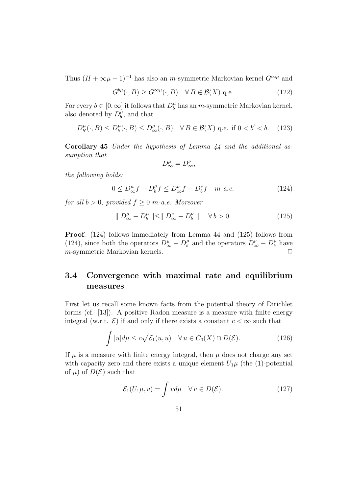Thus  $(H + \infty \mu + 1)^{-1}$  has also an *m*-symmetric Markovian kernel  $G^{\infty \mu}$  and

$$
G^{b\mu}(\cdot, B) \ge G^{\infty\mu}(\cdot, B) \quad \forall \, B \in \mathcal{B}(X) \text{ q.e.}
$$
 (122)

For every  $b \in [0, \infty]$  it follows that  $D_b^{\mu}$  $b<sub>b</sub><sup>\mu</sup>$  has an *m*-symmetric Markovian kernel, also denoted by  $D_h^{\mu}$  $\int_b^{\mu}$ , and that

$$
D_{b'}^{\mu}(\cdot, B) \le D_b^{\mu}(\cdot, B) \le D_{\infty}^{\mu}(\cdot, B) \quad \forall B \in \mathcal{B}(X) \text{ q.e. if } 0 < b' < b. \tag{123}
$$

Corollary 45 Under the hypothesis of Lemma 44 and the additional assumption that

$$
D^{\mu}_{\infty}=D^{\nu}_{\infty},
$$

the following holds:

$$
0 \le D_{\infty}^{\mu} f - D_b^{\mu} f \le D_{\infty}^{\nu} f - D_b^{\nu} f \quad m \text{-} a.e. \tag{124}
$$

for all  $b > 0$ , provided  $f \geq 0$  m-a.e. Moreover

$$
\| D_{\infty}^{\mu} - D_b^{\mu} \| \le \| D_{\infty}^{\nu} - D_b^{\nu} \| \quad \forall \, b > 0. \tag{125}
$$

Proof: (124) follows immediately from Lemma 44 and (125) follows from (124), since both the operators  $D^{\mu}_{\infty} - D^{\mu}_{b}$  $b^{\mu}_{b}$  and the operators  $D^{\nu}_{\infty} - D^{\nu}_{b}$  have  $m$ -symmetric Markovian kernels.

## 3.4 Convergence with maximal rate and equilibrium measures

First let us recall some known facts from the potential theory of Dirichlet forms (cf. [13]). A positive Radon measure is a measure with finite energy integral (w.r.t.  $\mathcal{E}$ ) if and only if there exists a constant  $c < \infty$  such that

$$
\int |u|d\mu \leq c\sqrt{\mathcal{E}_1(u,u)} \quad \forall u \in C_0(X) \cap D(\mathcal{E}). \tag{126}
$$

If  $\mu$  is a measure with finite energy integral, then  $\mu$  does not charge any set with capacity zero and there exists a unique element  $U_1\mu$  (the (1)-potential of  $\mu$ ) of  $D(\mathcal{E})$  such that

$$
\mathcal{E}_1(U_1\mu, v) = \int v d\mu \quad \forall v \in D(\mathcal{E}). \tag{127}
$$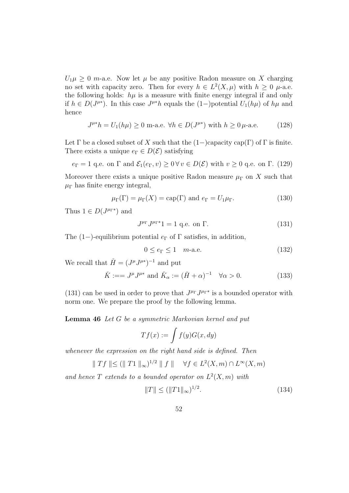$U_1\mu \geq 0$  m-a.e. Now let  $\mu$  be any positive Radon measure on X charging no set with capacity zero. Then for every  $h \in L^2(X, \mu)$  with  $h \geq 0$   $\mu$ -a.e. the following holds:  $h\mu$  is a measure with finite energy integral if and only if  $h \in D(J^{\mu*})$ . In this case  $J^{\mu*}h$  equals the  $(1-)$  potential  $U_1(h\mu)$  of  $h\mu$  and hence

$$
J^{\mu*}h = U_1(h\mu) \ge 0 \text{ m-a.e. } \forall h \in D(J^{\mu*}) \text{ with } h \ge 0 \,\mu\text{-a.e.}
$$
 (128)

Let  $\Gamma$  be a closed subset of X such that the  $(1-)$ capacity cap $(\Gamma)$  of  $\Gamma$  is finite. There exists a unique  $e_{\Gamma} \in D(\mathcal{E})$  satisfying

 $e_{\Gamma} = 1$  q.e. on  $\Gamma$  and  $\mathcal{E}_1(e_{\Gamma}, v) \geq 0 \,\forall v \in D(\mathcal{E})$  with  $v \geq 0$  q.e. on  $\Gamma$ . (129)

Moreover there exists a unique positive Radon measure  $\mu_{\Gamma}$  on X such that  $\mu_{\Gamma}$  has finite energy integral,

$$
\mu_{\Gamma}(\Gamma) = \mu_{\Gamma}(X) = \text{cap}(\Gamma) \text{ and } e_{\Gamma} = U_1 \mu_{\Gamma}. \tag{130}
$$

Thus  $1 \in D(J^{\mu_{\Gamma^*}})$  and

$$
J^{\mu_{\Gamma}} J^{\mu_{\Gamma}*} 1 = 1 \text{ q.e. on } \Gamma. \tag{131}
$$

The (1−)-equilibrium potential  $e_{\Gamma}$  of  $\Gamma$  satisfies, in addition,

$$
0 \le e_{\Gamma} \le 1 \quad m\text{-a.e.} \tag{132}
$$

We recall that  $\check{H} = (J^{\mu}J^{\mu*})^{-1}$  and put

$$
\check{K} := J^{\mu} J^{\mu*} \text{ and } \check{K}_{\alpha} := (\check{H} + \alpha)^{-1} \quad \forall \alpha > 0.
$$
 (133)

(131) can be used in order to prove that  $J^{\mu_{\Gamma}} J^{\mu_{\Gamma}*}$  is a bounded operator with norm one. We prepare the proof by the following lemma.

Lemma 46 Let G be a symmetric Markovian kernel and put

$$
Tf(x) := \int f(y)G(x, dy)
$$

whenever the expression on the right hand side is defined. Then

$$
\parallel Tf \parallel \leq (\parallel T1 \parallel_{\infty})^{1/2} \parallel f \parallel \quad \forall f \in L^{2}(X,m) \cap L^{\infty}(X,m)
$$

and hence T extends to a bounded operator on  $L^2(X, m)$  with

$$
||T|| \le (||T1||_{\infty})^{1/2}.
$$
\n(134)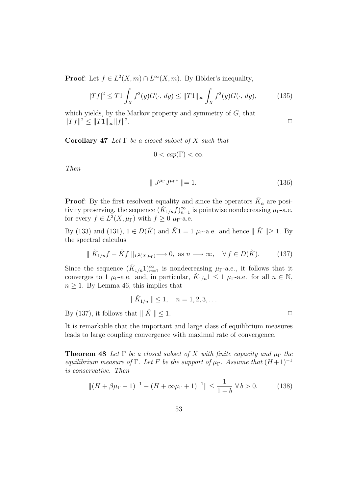**Proof**: Let  $f \in L^2(X, m) \cap L^{\infty}(X, m)$ . By Hölder's inequality,

$$
|Tf|^2 \le T1 \int_X f^2(y)G(\cdot, dy) \le ||T1||_{\infty} \int_X f^2(y)G(\cdot, dy), \tag{135}
$$

which yields, by the Markov property and symmetry of  $G$ , that  $||Tf||^2 \le ||T1||_{\infty} ||f||^2$ .  $\Box$ 

Corollary 47 Let  $\Gamma$  be a closed subset of X such that

 $0 < cap(\Gamma) < \infty$ .

Then

$$
\| J^{\mu_{\Gamma}} J^{\mu_{\Gamma}*} \| = 1. \tag{136}
$$

**Proof:** By the first resolvent equality and since the operators  $\check{K}_{\alpha}$  are positivity preserving, the sequence  $(\tilde{K}_{1/n}f)_{n=1}^{\infty}$  is pointwise nondecreasing  $\mu_{\Gamma}$ -a.e. for every  $f \in L^2(X, \mu_{\Gamma})$  with  $f \geq 0$   $\mu_{\Gamma}$ -a.e.

By (133) and (131),  $1 \in D(K)$  and  $\check{K}1 = 1 \mu_{\Gamma}$ -a.e. and hence  $||\check{K}|| \geq 1$ . By the spectral calculus

$$
\parallel \check{K}_{1/n}f - \check{K}f \parallel_{L^2(X,\mu_\Gamma)} \longrightarrow 0, \text{ as } n \longrightarrow \infty, \quad \forall f \in D(\check{K}). \tag{137}
$$

Since the sequence  $(\check{K}_{1/n}1)_{n=1}^{\infty}$  is nondecreasing  $\mu_{\Gamma}$ -a.e., it follows that it converges to 1  $\mu_{\Gamma}$ -a.e. and, in particular,  $\check{K}_{1/n}$   $\leq 1$   $\mu_{\Gamma}$ -a.e. for all  $n \in \mathbb{N}$ ,  $n \geq 1$ . By Lemma 46, this implies that

$$
\parallel \check{K}_{1/n} \parallel \leq 1, \quad n = 1, 2, 3, \dots
$$

By (137), it follows that  $\parallel \check{K} \parallel \leq 1$ .

It is remarkable that the important and large class of equilibrium measures leads to large coupling convergence with maximal rate of convergence.

**Theorem 48** Let  $\Gamma$  be a closed subset of X with finite capacity and  $\mu_{\Gamma}$  the equilibrium measure of Γ. Let F be the support of  $\mu_{\Gamma}$ . Assume that  $(H+1)^{-1}$ is conservative. Then

$$
||(H + \beta\mu_{\Gamma} + 1)^{-1} - (H + \infty\mu_{\Gamma} + 1)^{-1}|| \le \frac{1}{1+b} \,\forall\, b > 0. \tag{138}
$$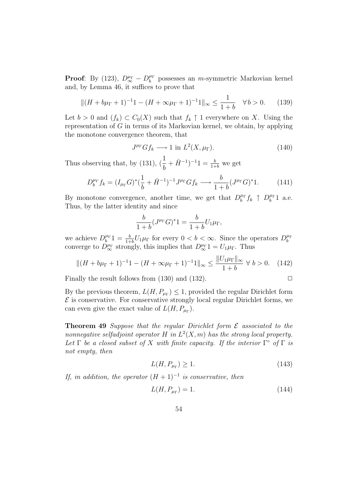**Proof:** By (123),  $D^{\mu_{\Gamma}}_{\infty} - D^{\mu_{\Gamma}}_{b}$  $b^{\mu_{\Gamma}}$  possesses an *m*-symmetric Markovian kernel and, by Lemma 46, it suffices to prove that

$$
||(H + b\mu_{\Gamma} + 1)^{-1}1 - (H + \infty\mu_{\Gamma} + 1)^{-1}1||_{\infty} \le \frac{1}{1+b} \quad \forall b > 0. \tag{139}
$$

Let  $b > 0$  and  $(f_k) \subset C_0(X)$  such that  $f_k \uparrow 1$  everywhere on X. Using the representation of G in terms of its Markovian kernel, we obtain, by applying the monotone convergence theorem, that

$$
J^{\mu_{\Gamma}}Gf_k \longrightarrow 1 \text{ in } L^2(X, \mu_{\Gamma}).\tag{140}
$$

Thus observing that, by (131),  $\left(\frac{1}{1}\right)$ b  $+ H^{-1}$ <sup>-1</sup> $1 = \frac{b}{1+b}$  we get

$$
D_b^{\mu_{\Gamma}} f_k = (I_{\mu_{\Gamma}} G)^* (\frac{1}{b} + \check{H}^{-1})^{-1} J^{\mu_{\Gamma}} G f_k \longrightarrow \frac{b}{1+b} (J^{\mu_{\Gamma}} G)^* 1. \tag{141}
$$

By monotone convergence, another time, we get that  $D_h^{\mu_{\Gamma}}$  $b^{\mu_{\Gamma}} f_k \uparrow D_b^{\mu_{\Gamma}}$  $b^{\mu_{\Gamma}}1$  a.e. Thus, by the latter identity and since

$$
\frac{b}{1+b}(J^{\mu_{\Gamma}}G)^{*}1 = \frac{b}{1+b}U_{1}\mu_{\Gamma},
$$

we achieve  $D_h^{\mu_{\Gamma}}$  $b^{\mu_{\Gamma}}1 = \frac{b}{1+b}U_1\mu_{\Gamma}$  for every  $0 < b < \infty$ . Since the operators  $D_b^{\mu_{\Gamma}}$ we athere  $D_b^{\mu\nu} = \frac{1}{1+b} U[\mu\Gamma]$  for every  $0 < \theta < \infty$ . Since the operators  $D_b^{\mu\nu}$  converge to  $D_{\infty}^{\mu\nu}$  strongly, this implies that  $D_{\infty}^{\mu\nu}$  1 =  $U_1\mu_\Gamma$ . Thus

$$
||(H + b\mu_{\Gamma} + 1)^{-1}1 - (H + \infty\mu_{\Gamma} + 1)^{-1}1||_{\infty} \le \frac{||U_1\mu_{\Gamma}||_{\infty}}{1 + b} \,\forall\, b > 0. \tag{142}
$$

Finally the result follows from  $(130)$  and  $(132)$ .

By the previous theorem,  $L(H, P_{\mu\Gamma}) \leq 1$ , provided the regular Dirichlet form  $\mathcal E$  is conservative. For conservative strongly local regular Dirichlet forms, we can even give the exact value of  $L(H, P_{\mu\Gamma})$ .

**Theorem 49** Suppose that the regular Dirichlet form  $\mathcal E$  associated to the nonnegative selfadjoint operator H in  $L^2(X, m)$  has the strong local property. Let  $\Gamma$  be a closed subset of X with finite capacity. If the interior  $\Gamma^{\circ}$  of  $\Gamma$  is not empty, then

$$
L(H, P_{\mu_{\Gamma}}) \ge 1. \tag{143}
$$

If, in addition, the operator  $(H + 1)^{-1}$  is conservative, then

$$
L(H, P_{\mu_{\Gamma}}) = 1.
$$
\n(144)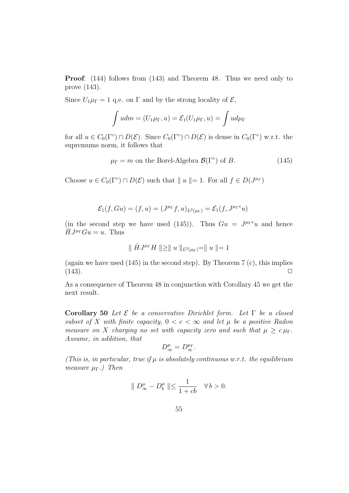Proof: (144) follows from (143) and Theorem 48. Thus we need only to prove (143).

Since  $U_1\mu_{\Gamma} = 1$  q.e. on  $\Gamma$  and by the strong locality of  $\mathcal{E}$ ,

$$
\int u dm = (U_1 \mu_\Gamma, u) = \mathcal{E}_1(U_1 \mu_\Gamma, u) = \int u d\mu_\Gamma
$$

for all  $u \in C_0(\Gamma^{\circ}) \cap D(\mathcal{E})$ . Since  $C_0(\Gamma^{\circ}) \cap D(\mathcal{E})$  is dense in  $C_0(\Gamma^{\circ})$  w.r.t. the supremums norm, it follows that

$$
\mu_{\Gamma} = m \text{ on the Borel-Algebra } \mathcal{B}(\Gamma^{\circ}) \text{ of } B. \tag{145}
$$

Choose  $u \in C_0(\Gamma^{\circ}) \cap D(\mathcal{E})$  such that  $||u|| = 1$ . For all  $f \in D(J^{\mu})$ 

$$
\mathcal{E}_1(f,Gu) = (f,u) = (J^{\mu_{\Gamma}}f,u)_{L^2(\mu_{\Gamma})} = \mathcal{E}_1(f,J^{\mu_{\Gamma}*}u)
$$

(in the second step we have used (145)). Thus  $Gu = J^{\mu}$  and hence  $\check{H}J^{\mu_{\Gamma}}Gu = u.$  Thus

$$
\parallel \check{H}J^{\mu_{\Gamma}}H \parallel \geq \parallel u \parallel_{L^{2}(\mu_{\Gamma})} = \parallel u \parallel = 1
$$

(again we have used  $(145)$  in the second step). By Theorem 7 (c), this implies  $(143)$ .

As a consequence of Theorem 48 in conjunction with Corollary 45 we get the next result.

Corollary 50 Let  $\mathcal E$  be a conservative Dirichlet form. Let  $\Gamma$  be a closed subset of X with finite capacity,  $0 < c < \infty$  and let  $\mu$  be a positive Radon measure on X charging no set with capacity zero and such that  $\mu \geq c \mu_{\Gamma}$ . Assume, in addition, that

$$
D^{\mu}_{\infty}=D^{\mu_{\Gamma}}_{\infty}.
$$

(This is, in particular, true if  $\mu$  is absolutely continuous w.r.t. the equilibrium measure  $\mu_{\Gamma}$ .) Then

$$
\parallel D^{\mu}_{\infty} - D^{\mu}_{b} \parallel \leq \frac{1}{1+cb} \quad \forall b > 0.
$$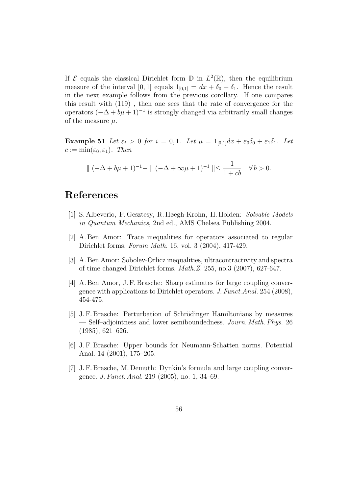If  $\mathcal E$  equals the classical Dirichlet form  $\mathbb D$  in  $L^2(\mathbb R)$ , then the equilibrium measure of the interval [0, 1] equals  $1_{[0,1]} = dx + \delta_0 + \delta_1$ . Hence the result in the next example follows from the previous corollary. If one compares this result with (119) , then one sees that the rate of convergence for the operators  $(-\Delta + b\mu + 1)^{-1}$  is strongly changed via arbitrarily small changes of the measure  $\mu$ .

Example 51 Let  $\varepsilon_i > 0$  for  $i = 0, 1$ . Let  $\mu = 1_{[0,1]}dx + \varepsilon_0 \delta_0 + \varepsilon_1 \delta_1$ . Let  $c := \min(\varepsilon_0, \varepsilon_1)$ . Then

$$
\|(-\Delta + b\mu + 1)^{-1} - \|(-\Delta + \infty\mu + 1)^{-1} \| \le \frac{1}{1+cb} \quad \forall b > 0.
$$

## References

- [1] S. Albeverio, F. Gesztesy, R. Høegh-Krohn, H. Holden: Solvable Models in Quantum Mechanics, 2nd ed., AMS Chelsea Publishing 2004.
- [2] A. Ben Amor: Trace inequalities for operators associated to regular Dirichlet forms. Forum Math. 16, vol. 3 (2004), 417-429.
- [3] A. Ben Amor: Sobolev-Orlicz inequalities, ultracontractivity and spectra of time changed Dirichlet forms. Math.Z. 255, no.3 (2007), 627-647.
- [4] A. Ben Amor, J. F. Brasche: Sharp estimates for large coupling convergence with applications to Dirichlet operators. J. Funct.Anal. 254 (2008), 454-475.
- [5] J. F. Brasche: Perturbation of Schrödinger Hamiltonians by measures — Self–adjointness and lower semiboundedness. Journ. Math. Phys. 26 (1985), 621–626.
- [6] J. F. Brasche: Upper bounds for Neumann-Schatten norms. Potential Anal. 14 (2001), 175–205.
- [7] J. F. Brasche, M. Demuth: Dynkin's formula and large coupling convergence. J. Funct. Anal. 219 (2005), no. 1, 34–69.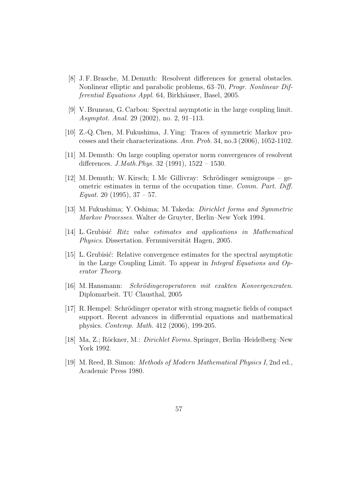- [8] J. F. Brasche, M. Demuth: Resolvent differences for general obstacles. Nonlinear elliptic and parabolic problems, 63–70, Progr. Nonlinear Differential Equations Appl. 64, Birkhäuser, Basel, 2005.
- [9] V. Bruneau, G. Carbou: Spectral asymptotic in the large coupling limit. Asymptot. Anal. 29 (2002), no. 2, 91–113.
- [10] Z.-Q. Chen, M. Fukushima, J. Ying: Traces of symmetric Markov processes and their characterizations. Ann. Prob. 34, no.3 (2006), 1052-1102.
- [11] M. Demuth: On large coupling operator norm convergences of resolvent differences. J.Math.Phys. 32 (1991), 1522 – 1530.
- [12] M. Demuth; W. Kirsch; I. Mc Gillivray: Schrödinger semigroups geometric estimates in terms of the occupation time. Comm. Part. Diff. Equat. 20 (1995),  $37 - 57$ .
- [13] M. Fukushima; Y. Oshima; M. Takeda: Dirichlet forms and Symmetric Markov Processes. Walter de Gruyter, Berlin–New York 1994.
- [14] L. Grubisić Ritz value estimates and applications in Mathematical Physics. Dissertation. Fernuniversität Hagen, 2005.
- [15] L. Grubisi´c: Relative convergence estimates for the spectral asymptotic in the Large Coupling Limit. To appear in Integral Equations and Operator Theory.
- [16] M. Hansmann: Schrödingeroperatoren mit exakten Konvergenzraten. Diplomarbeit. TU Clausthal, 2005
- [17] R. Hempel: Schrödinger operator with strong magnetic fields of compact support. Recent advances in differential equations and mathematical physics. Contemp. Math. 412 (2006), 199-205.
- [18] Ma, Z.; Röckner, M.: *Dirichlet Forms.* Springer, Berlin–Heidelberg–New York 1992.
- [19] M. Reed, B. Simon: Methods of Modern Mathematical Physics I, 2nd ed., Academic Press 1980.